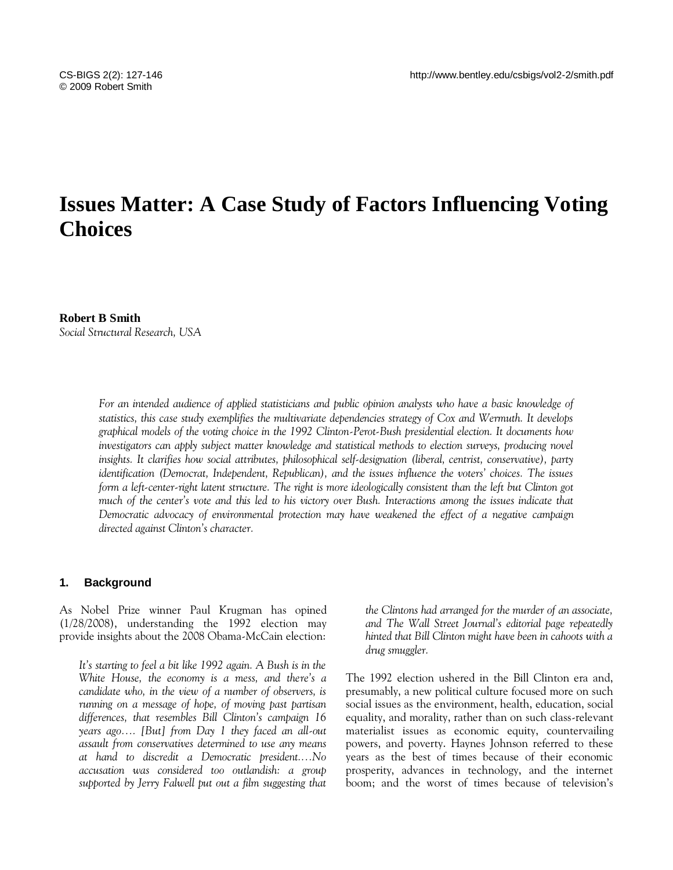# **Issues Matter: A Case Study of Factors Influencing Voting Choices**

# **Robert B Smith** *Social Structural Research, USA*

For an intended audience of applied statisticians and public opinion analysts who have a basic knowledge of *statistics, this case study exemplifies the multivariate dependencies strategy of Cox and Wermuth. It develops graphical models of the voting choice in the 1992 Clinton-Perot-Bush presidential election. It documents how investigators can apply subject matter knowledge and statistical methods to election surveys, producing novel insights. It clarifies how social attributes, philosophical self-designation (liberal, centrist, conservative), party identification (Democrat, Independent, Republican), and the issues influence the voters' choices. The issues form a left-center-right latent structure. The right is more ideologically consistent than the left but Clinton got much of the center's vote and this led to his victory over Bush. Interactions among the issues indicate that Democratic advocacy of environmental protection may have weakened the effect of a negative campaign directed against Clinton's character.*

# **1. Background**

As Nobel Prize winner Paul Krugman has opined (1/28/2008), understanding the 1992 election may provide insights about the 2008 Obama-McCain election:

*It's starting to feel a bit like 1992 again. A Bush is in the White House, the economy is a mess, and there's a candidate who, in the view of a number of observers, is running on a message of hope, of moving past partisan differences, that resembles Bill Clinton's campaign 16 years ago…. [But] from Day 1 they faced an all-out assault from conservatives determined to use any means at hand to discredit a Democratic president.…No accusation was considered too outlandish: a group supported by Jerry Falwell put out a film suggesting that*  *the Clintons had arranged for the murder of an associate, and The Wall Street Journal's editorial page repeatedly hinted that Bill Clinton might have been in cahoots with a drug smuggler.*

The 1992 election ushered in the Bill Clinton era and, presumably, a new political culture focused more on such social issues as the environment, health, education, social equality, and morality, rather than on such class-relevant materialist issues as economic equity, countervailing powers, and poverty. Haynes Johnson referred to these years as the best of times because of their economic prosperity, advances in technology, and the internet boom; and the worst of times because of television's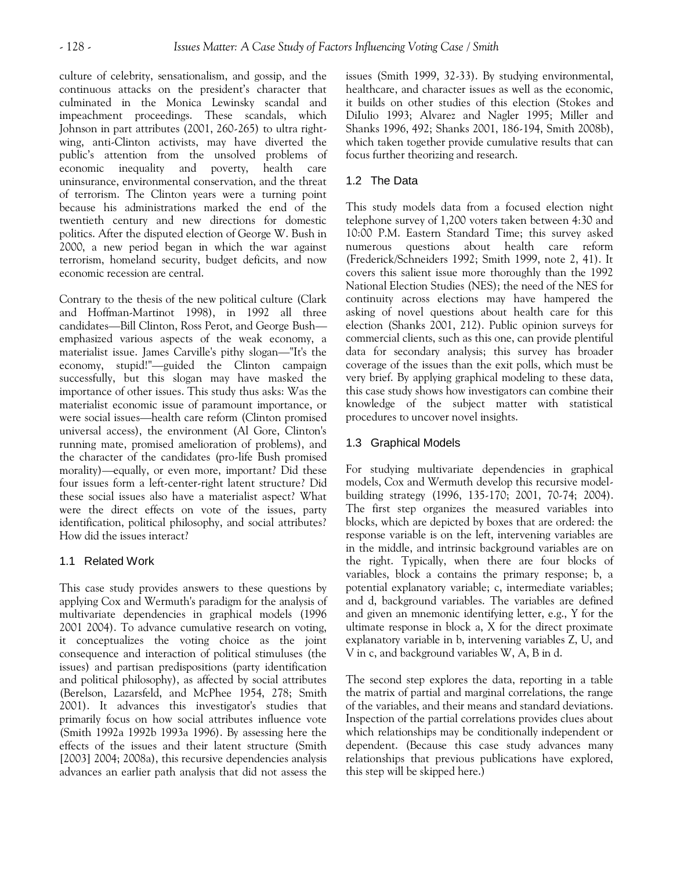culture of celebrity, sensationalism, and gossip, and the continuous attacks on the president's character that culminated in the Monica Lewinsky scandal and impeachment proceedings. These scandals, which Johnson in part attributes (2001, 260-265) to ultra rightwing, anti-Clinton activists, may have diverted the public's attention from the unsolved problems of economic inequality and poverty, health care uninsurance, environmental conservation, and the threat of terrorism. The Clinton years were a turning point because his administrations marked the end of the twentieth century and new directions for domestic politics. After the disputed election of George W. Bush in 2000, a new period began in which the war against terrorism, homeland security, budget deficits, and now economic recession are central.

Contrary to the thesis of the new political culture (Clark and Hoffman-Martinot 1998), in 1992 all three candidates—Bill Clinton, Ross Perot, and George Bush emphasized various aspects of the weak economy, a materialist issue. James Carville's pithy slogan—"It's the economy, stupid!"—guided the Clinton campaign successfully, but this slogan may have masked the importance of other issues. This study thus asks: Was the materialist economic issue of paramount importance, or were social issues—health care reform (Clinton promised universal access), the environment (Al Gore, Clinton's running mate, promised amelioration of problems), and the character of the candidates (pro-life Bush promised morality)—equally, or even more, important? Did these four issues form a left-center-right latent structure? Did these social issues also have a materialist aspect? What were the direct effects on vote of the issues, party identification, political philosophy, and social attributes? How did the issues interact?

# 1.1 Related Work

This case study provides answers to these questions by applying Cox and Wermuth's paradigm for the analysis of multivariate dependencies in graphical models (1996 2001 2004). To advance cumulative research on voting, it conceptualizes the voting choice as the joint consequence and interaction of political stimuluses (the issues) and partisan predispositions (party identification and political philosophy), as affected by social attributes (Berelson, Lazarsfeld, and McPhee 1954, 278; Smith 2001). It advances this investigator's studies that primarily focus on how social attributes influence vote (Smith 1992a 1992b 1993a 1996). By assessing here the effects of the issues and their latent structure (Smith [2003] 2004; 2008a), this recursive dependencies analysis advances an earlier path analysis that did not assess the issues (Smith 1999, 32-33). By studying environmental, healthcare, and character issues as well as the economic, it builds on other studies of this election (Stokes and DiIulio 1993; Alvarez and Nagler 1995; Miller and Shanks 1996, 492; Shanks 2001, 186-194, Smith 2008b), which taken together provide cumulative results that can focus further theorizing and research.

# 1.2 The Data

This study models data from a focused election night telephone survey of 1,200 voters taken between 4:30 and 10:00 P.M. Eastern Standard Time; this survey asked numerous questions about health care reform (Frederick/Schneiders 1992; Smith 1999, note 2, 41). It covers this salient issue more thoroughly than the 1992 National Election Studies (NES); the need of the NES for continuity across elections may have hampered the asking of novel questions about health care for this election (Shanks 2001, 212). Public opinion surveys for commercial clients, such as this one, can provide plentiful data for secondary analysis; this survey has broader coverage of the issues than the exit polls, which must be very brief. By applying graphical modeling to these data, this case study shows how investigators can combine their knowledge of the subject matter with statistical procedures to uncover novel insights.

# 1.3 Graphical Models

For studying multivariate dependencies in graphical models, Cox and Wermuth develop this recursive modelbuilding strategy (1996, 135-170; 2001, 70-74; 2004). The first step organizes the measured variables into blocks, which are depicted by boxes that are ordered: the response variable is on the left, intervening variables are in the middle, and intrinsic background variables are on the right. Typically, when there are four blocks of variables, block a contains the primary response; b, a potential explanatory variable; c, intermediate variables; and d, background variables. The variables are defined and given an mnemonic identifying letter, e.g., Y for the ultimate response in block a, X for the direct proximate explanatory variable in b, intervening variables Z, U, and V in c, and background variables W, A, B in d.

The second step explores the data, reporting in a table the matrix of partial and marginal correlations, the range of the variables, and their means and standard deviations. Inspection of the partial correlations provides clues about which relationships may be conditionally independent or dependent. (Because this case study advances many relationships that previous publications have explored, this step will be skipped here.)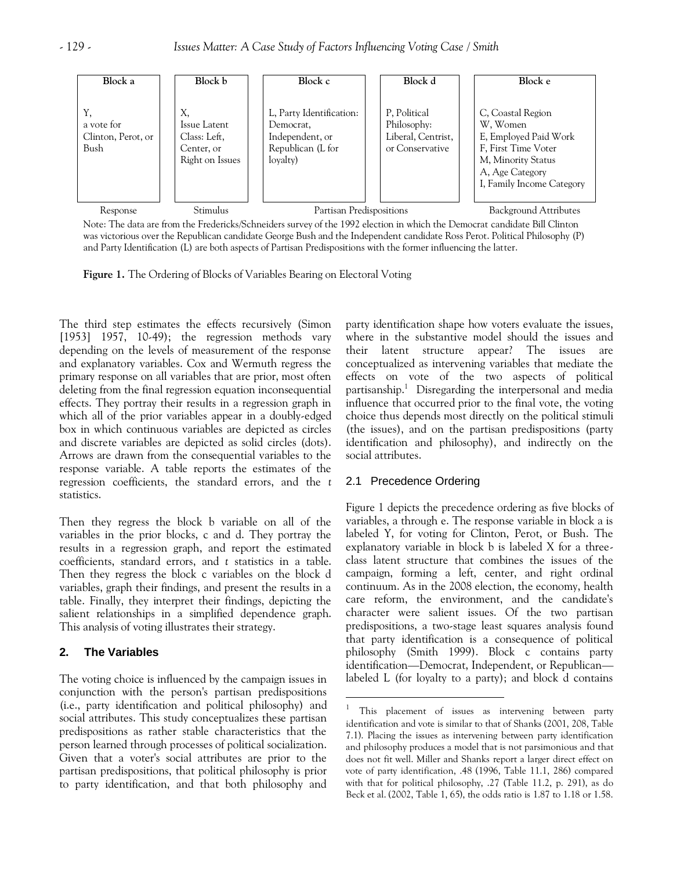

Note: The data are from the Fredericks/Schneiders survey of the 1992 election in which the Democrat candidate Bill Clinton was victorious over the Republican candidate George Bush and the Independent candidate Ross Perot. Political Philosophy (P) and Party Identification (L) are both aspects of Partisan Predispositions with the former influencing the latter.

 $\overline{a}$ 

**Figure 1.** The Ordering of Blocks of Variables Bearing on Electoral Voting

The third step estimates the effects recursively (Simon [1953] 1957, 10-49); the regression methods vary depending on the levels of measurement of the response and explanatory variables. Cox and Wermuth regress the primary response on all variables that are prior, most often deleting from the final regression equation inconsequential effects. They portray their results in a regression graph in which all of the prior variables appear in a doubly-edged box in which continuous variables are depicted as circles and discrete variables are depicted as solid circles (dots). Arrows are drawn from the consequential variables to the response variable. A table reports the estimates of the regression coefficients, the standard errors, and the *t* statistics.

Then they regress the block b variable on all of the variables in the prior blocks, c and d. They portray the results in a regression graph, and report the estimated coefficients, standard errors, and *t* statistics in a table. Then they regress the block c variables on the block d variables, graph their findings, and present the results in a table. Finally, they interpret their findings, depicting the salient relationships in a simplified dependence graph. This analysis of voting illustrates their strategy.

# **2. The Variables**

The voting choice is influenced by the campaign issues in conjunction with the person's partisan predispositions (i.e., party identification and political philosophy) and social attributes. This study conceptualizes these partisan predispositions as rather stable characteristics that the person learned through processes of political socialization. Given that a voter's social attributes are prior to the partisan predispositions, that political philosophy is prior to party identification, and that both philosophy and

party identification shape how voters evaluate the issues, where in the substantive model should the issues and their latent structure appear? The issues are conceptualized as intervening variables that mediate the effects on vote of the two aspects of political partisanship.<sup>1</sup> Disregarding the interpersonal and media influence that occurred prior to the final vote, the voting choice thus depends most directly on the political stimuli (the issues), and on the partisan predispositions (party identification and philosophy), and indirectly on the social attributes.

# 2.1 Precedence Ordering

Figure 1 depicts the precedence ordering as five blocks of variables, a through e. The response variable in block a is labeled Y, for voting for Clinton, Perot, or Bush. The explanatory variable in block b is labeled X for a threeclass latent structure that combines the issues of the campaign, forming a left, center, and right ordinal continuum. As in the 2008 election, the economy, health care reform, the environment, and the candidate's character were salient issues. Of the two partisan predispositions, a two-stage least squares analysis found that party identification is a consequence of political philosophy (Smith 1999). Block c contains party identification—Democrat, Independent, or Republican labeled L (for loyalty to a party); and block d contains

<sup>1</sup> This placement of issues as intervening between party identification and vote is similar to that of Shanks (2001, 208, Table 7.1). Placing the issues as intervening between party identification and philosophy produces a model that is not parsimonious and that does not fit well. Miller and Shanks report a larger direct effect on vote of party identification, .48 (1996, Table 11.1, 286) compared with that for political philosophy, .27 (Table 11.2, p. 291), as do Beck et al. (2002, Table 1, 65), the odds ratio is 1.87 to 1.18 or 1.58.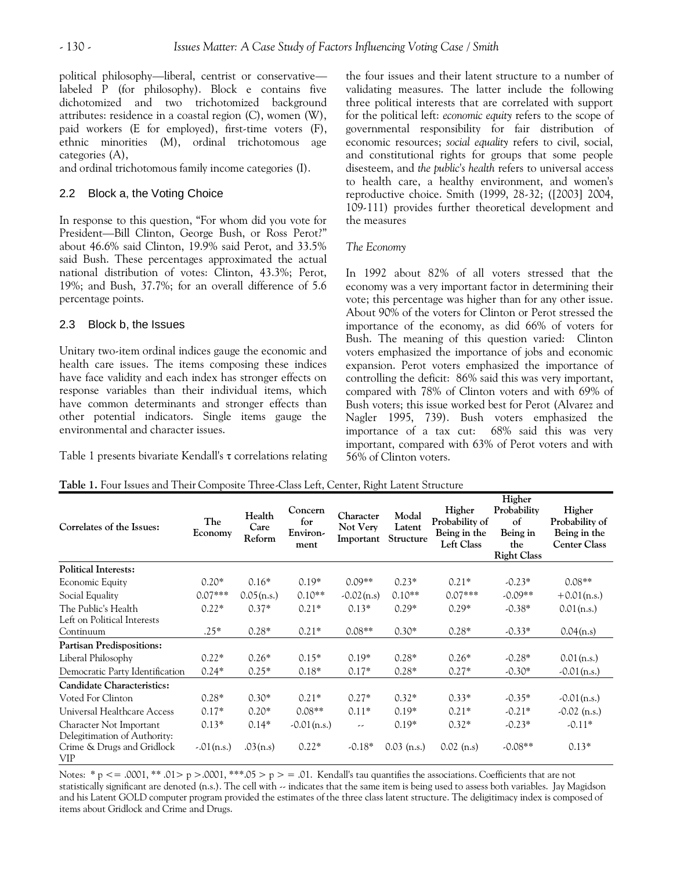political philosophy—liberal, centrist or conservative labeled P (for philosophy). Block e contains five dichotomized and two trichotomized background attributes: residence in a coastal region (C), women (W), paid workers (E for employed), first-time voters (F), ethnic minorities (M), ordinal trichotomous age categories (A),

and ordinal trichotomous family income categories (I).

# 2.2 Block a, the Voting Choice

In response to this question, "For whom did you vote for President—Bill Clinton, George Bush, or Ross Perot?" about 46.6% said Clinton, 19.9% said Perot, and 33.5% said Bush. These percentages approximated the actual national distribution of votes: Clinton, 43.3%; Perot, 19%; and Bush, 37.7%; for an overall difference of 5.6 percentage points.

# 2.3 Block b, the Issues

Unitary two-item ordinal indices gauge the economic and health care issues. The items composing these indices have face validity and each index has stronger effects on response variables than their individual items, which have common determinants and stronger effects than other potential indicators. Single items gauge the environmental and character issues.

Table 1 presents bivariate Kendall's τ correlations relating

the four issues and their latent structure to a number of validating measures. The latter include the following three political interests that are correlated with support for the political left: *economic equity* refers to the scope of governmental responsibility for fair distribution of economic resources; *social equality* refers to civil, social, and constitutional rights for groups that some people disesteem, and *the public's health* refers to universal access to health care, a healthy environment, and women's reproductive choice. Smith (1999, 28-32; ([2003] 2004, 109-111) provides further theoretical development and the measures

# *The Economy*

In 1992 about 82% of all voters stressed that the economy was a very important factor in determining their vote; this percentage was higher than for any other issue. About 90% of the voters for Clinton or Perot stressed the importance of the economy, as did 66% of voters for Bush. The meaning of this question varied: Clinton voters emphasized the importance of jobs and economic expansion. Perot voters emphasized the importance of controlling the deficit: 86% said this was very important, compared with 78% of Clinton voters and with 69% of Bush voters; this issue worked best for Perot (Alvarez and Nagler 1995, 739). Bush voters emphasized the importance of a tax cut: 68% said this was very important, compared with 63% of Perot voters and with 56% of Clinton voters.

**Higher** 

| Correlates of the Issues:                               | The<br>Economy | Health<br>Care<br>Reform | Concern<br>for<br>Environ-<br>ment | Character<br>Not Very<br>Important | Modal<br>Latent<br>Structure | Higher<br>Probability of<br>Being in the<br><b>Left Class</b> | rugner<br>Probability<br>of<br>Being in<br>the<br><b>Right Class</b> | Higher<br>Probability of<br>Being in the<br><b>Center Class</b> |
|---------------------------------------------------------|----------------|--------------------------|------------------------------------|------------------------------------|------------------------------|---------------------------------------------------------------|----------------------------------------------------------------------|-----------------------------------------------------------------|
| <b>Political Interests:</b>                             |                |                          |                                    |                                    |                              |                                                               |                                                                      |                                                                 |
| Economic Equity                                         | $0.20*$        | $0.16*$                  | $0.19*$                            | $0.09**$                           | $0.23*$                      | $0.21*$                                                       | $-0.23*$                                                             | $0.08**$                                                        |
| Social Equality                                         | $0.07***$      | 0.05(n.s.)               | $0.10**$                           | $-0.02(n.s)$                       | $0.10**$                     | $0.07***$                                                     | $-0.09**$                                                            | $+0.01(n.s.)$                                                   |
| The Public's Health<br>Left on Political Interests      | $0.22*$        | $0.37*$                  | $0.21*$                            | $0.13*$                            | $0.29*$                      | $0.29*$                                                       | $-0.38*$                                                             | 0.01(n.s.)                                                      |
| Continuum                                               | $.25*$         | $0.28*$                  | $0.21*$                            | $0.08**$                           | $0.30*$                      | $0.28*$                                                       | $-0.33*$                                                             | 0.04(n.s)                                                       |
| <b>Partisan Predispositions:</b>                        |                |                          |                                    |                                    |                              |                                                               |                                                                      |                                                                 |
| Liberal Philosophy                                      | $0.22*$        | $0.26*$                  | $0.15*$                            | $0.19*$                            | $0.28*$                      | $0.26*$                                                       | $-0.28*$                                                             | $0.01$ (n.s.)                                                   |
| Democratic Party Identification                         | $0.24*$        | $0.25*$                  | $0.18*$                            | $0.17*$                            | $0.28*$                      | $0.27*$                                                       | $-0.30*$                                                             | $-0.01(n.s.)$                                                   |
| <b>Candidate Characteristics:</b>                       |                |                          |                                    |                                    |                              |                                                               |                                                                      |                                                                 |
| Voted For Clinton                                       | $0.28*$        | $0.30*$                  | $0.21*$                            | $0.27*$                            | $0.32*$                      | $0.33*$                                                       | $-0.35*$                                                             | $-0.01(n.s.)$                                                   |
| Universal Healthcare Access                             | $0.17*$        | $0.20*$                  | $0.08**$                           | $0.11*$                            | $0.19*$                      | $0.21*$                                                       | $-0.21*$                                                             | $-0.02$ (n.s.)                                                  |
| Character Not Important<br>Delegitimation of Authority: | $0.13*$        | $0.14*$                  | $-0.01(n.s.)$                      | --                                 | $0.19*$                      | $0.32*$                                                       | $-0.23*$                                                             | $-0.11*$                                                        |
| Crime & Drugs and Gridlock<br>VIP                       | $-.01(n.s.)$   | .03(n.s)                 | $0.22*$                            | $-0.18*$                           | $0.03$ (n.s.)                | $0.02$ (n.s)                                                  | $-0.08**$                                                            | $0.13*$                                                         |

Notes: \* p <= .0001, \*\* .01> p > .0001, \*\*\*.05 > p > = .01. Kendall's tau quantifies the associations. Coefficients that are not statistically significant are denoted (n.s.). The cell with -- indicates that the same item is being used to assess both variables. Jay Magidson and his Latent GOLD computer program provided the estimates of the three class latent structure. The deligitimacy index is composed of items about Gridlock and Crime and Drugs.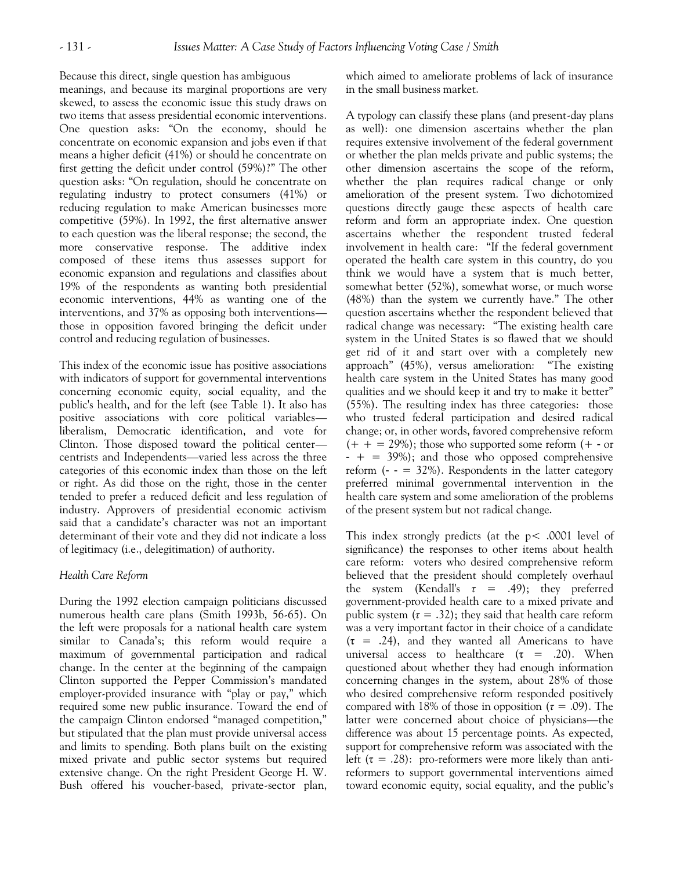Because this direct, single question has ambiguous

meanings, and because its marginal proportions are very skewed, to assess the economic issue this study draws on two items that assess presidential economic interventions. One question asks: "On the economy, should he concentrate on economic expansion and jobs even if that means a higher deficit (41%) or should he concentrate on first getting the deficit under control (59%)?" The other question asks: "On regulation, should he concentrate on regulating industry to protect consumers (41%) or reducing regulation to make American businesses more competitive (59%). In 1992, the first alternative answer to each question was the liberal response; the second, the more conservative response. The additive index composed of these items thus assesses support for economic expansion and regulations and classifies about 19% of the respondents as wanting both presidential economic interventions, 44% as wanting one of the interventions, and 37% as opposing both interventions those in opposition favored bringing the deficit under control and reducing regulation of businesses.

This index of the economic issue has positive associations with indicators of support for governmental interventions concerning economic equity, social equality, and the public's health, and for the left (see Table 1). It also has positive associations with core political variables liberalism, Democratic identification, and vote for Clinton. Those disposed toward the political center centrists and Independents—varied less across the three categories of this economic index than those on the left or right. As did those on the right, those in the center tended to prefer a reduced deficit and less regulation of industry. Approvers of presidential economic activism said that a candidate's character was not an important determinant of their vote and they did not indicate a loss of legitimacy (i.e., delegitimation) of authority.

#### *Health Care Reform*

During the 1992 election campaign politicians discussed numerous health care plans (Smith 1993b, 56-65). On the left were proposals for a national health care system similar to Canada's; this reform would require a maximum of governmental participation and radical change. In the center at the beginning of the campaign Clinton supported the Pepper Commission's mandated employer-provided insurance with "play or pay," which required some new public insurance. Toward the end of the campaign Clinton endorsed "managed competition," but stipulated that the plan must provide universal access and limits to spending. Both plans built on the existing mixed private and public sector systems but required extensive change. On the right President George H. W. Bush offered his voucher-based, private-sector plan,

which aimed to ameliorate problems of lack of insurance in the small business market.

A typology can classify these plans (and present-day plans as well): one dimension ascertains whether the plan requires extensive involvement of the federal government or whether the plan melds private and public systems; the other dimension ascertains the scope of the reform, whether the plan requires radical change or only amelioration of the present system. Two dichotomized questions directly gauge these aspects of health care reform and form an appropriate index. One question ascertains whether the respondent trusted federal involvement in health care: "If the federal government operated the health care system in this country, do you think we would have a system that is much better, somewhat better (52%), somewhat worse, or much worse (48%) than the system we currently have." The other question ascertains whether the respondent believed that radical change was necessary: "The existing health care system in the United States is so flawed that we should get rid of it and start over with a completely new approach" (45%), versus amelioration: "The existing health care system in the United States has many good qualities and we should keep it and try to make it better" (55%). The resulting index has three categories: those who trusted federal participation and desired radical change; or, in other words, favored comprehensive reform  $(+ + = 29\%)$ ; those who supported some reform  $(+ - or)$  $- + = 39\%)$ ; and those who opposed comprehensive reform  $(- - 32\%)$ . Respondents in the latter category preferred minimal governmental intervention in the health care system and some amelioration of the problems of the present system but not radical change.

This index strongly predicts (at the p< .0001 level of significance) the responses to other items about health care reform: voters who desired comprehensive reform believed that the president should completely overhaul the system (Kendall's  $\tau = .49$ ); they preferred government-provided health care to a mixed private and public system  $(\tau = .32)$ ; they said that health care reform was a very important factor in their choice of a candidate  $(\tau = .24)$ , and they wanted all Americans to have universal access to healthcare  $(\tau = .20)$ . When questioned about whether they had enough information concerning changes in the system, about 28% of those who desired comprehensive reform responded positively compared with 18% of those in opposition (*τ* = .09). The latter were concerned about choice of physicians—the difference was about 15 percentage points. As expected, support for comprehensive reform was associated with the left ( $\tau = .28$ ): pro-reformers were more likely than antireformers to support governmental interventions aimed toward economic equity, social equality, and the public's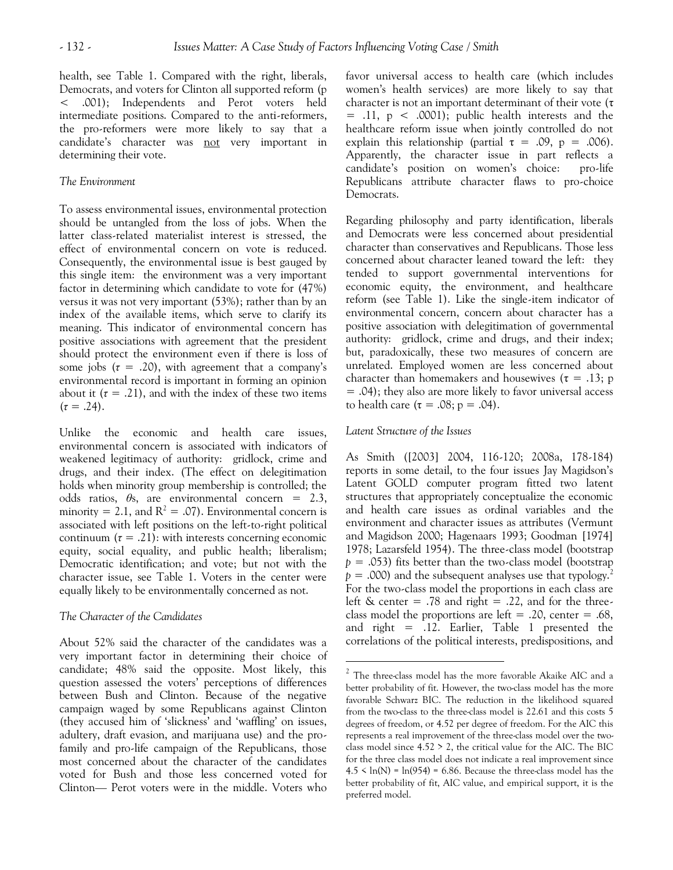health, see Table 1. Compared with the right, liberals, Democrats, and voters for Clinton all supported reform (p < .001); Independents and Perot voters held intermediate positions. Compared to the anti-reformers, the pro-reformers were more likely to say that a candidate's character was not very important in determining their vote.

## *The Environment*

To assess environmental issues, environmental protection should be untangled from the loss of jobs. When the latter class-related materialist interest is stressed, the effect of environmental concern on vote is reduced. Consequently, the environmental issue is best gauged by this single item: the environment was a very important factor in determining which candidate to vote for (47%) versus it was not very important (53%); rather than by an index of the available items, which serve to clarify its meaning. This indicator of environmental concern has positive associations with agreement that the president should protect the environment even if there is loss of some jobs  $(\tau = .20)$ , with agreement that a company's environmental record is important in forming an opinion about it  $(\tau = .21)$ , and with the index of these two items  $(\tau = .24)$ .

Unlike the economic and health care issues, environmental concern is associated with indicators of weakened legitimacy of authority: gridlock, crime and drugs, and their index. (The effect on delegitimation holds when minority group membership is controlled; the odds ratios, *θ*s, are environmental concern = 2.3, minority = 2.1, and  $R^2 = .07$ ). Environmental concern is associated with left positions on the left-to-right political continuum  $(\tau = .21)$ : with interests concerning economic equity, social equality, and public health; liberalism; Democratic identification; and vote; but not with the character issue, see Table 1. Voters in the center were equally likely to be environmentally concerned as not.

# *The Character of the Candidates*

About 52% said the character of the candidates was a very important factor in determining their choice of candidate; 48% said the opposite. Most likely, this question assessed the voters' perceptions of differences between Bush and Clinton. Because of the negative campaign waged by some Republicans against Clinton (they accused him of 'slickness' and 'waffling' on issues, adultery, draft evasion, and marijuana use) and the profamily and pro-life campaign of the Republicans, those most concerned about the character of the candidates voted for Bush and those less concerned voted for Clinton— Perot voters were in the middle. Voters who

favor universal access to health care (which includes women's health services) are more likely to say that character is not an important determinant of their vote (τ  $=$  .11,  $p \lt 0.0001$ ; public health interests and the healthcare reform issue when jointly controlled do not explain this relationship (partial  $\tau = .09$ ,  $p = .006$ ). Apparently, the character issue in part reflects a candidate's position on women's choice: pro-life Republicans attribute character flaws to pro-choice Democrats.

Regarding philosophy and party identification, liberals and Democrats were less concerned about presidential character than conservatives and Republicans. Those less concerned about character leaned toward the left: they tended to support governmental interventions for economic equity, the environment, and healthcare reform (see Table 1). Like the single-item indicator of environmental concern, concern about character has a positive association with delegitimation of governmental authority: gridlock, crime and drugs, and their index; but, paradoxically, these two measures of concern are unrelated. Employed women are less concerned about character than homemakers and housewives ( $\tau = .13$ ; p = .04); they also are more likely to favor universal access to health care  $(\tau = .08; p = .04)$ .

## *Latent Structure of the Issues*

 $\overline{a}$ 

As Smith ([2003] 2004, 116-120; 2008a, 178-184) reports in some detail, to the four issues Jay Magidson's Latent GOLD computer program fitted two latent structures that appropriately conceptualize the economic and health care issues as ordinal variables and the environment and character issues as attributes (Vermunt and Magidson 2000; Hagenaars 1993; Goodman [1974] 1978; Lazarsfeld 1954). The three-class model (bootstrap *p* = .053) fits better than the two-class model (bootstrap  $p = .000$ ) and the subsequent analyses use that typology.<sup>2</sup> For the two-class model the proportions in each class are left  $\&$  center = .78 and right = .22, and for the threeclass model the proportions are left =  $.20$ , center =  $.68$ , and right = .12. Earlier, Table 1 presented the correlations of the political interests, predispositions, and

 $2$  The three-class model has the more favorable Akaike AIC and a better probability of fit. However, the two-class model has the more favorable Schwarz BIC. The reduction in the likelihood squared from the two-class to the three-class model is 22.61 and this costs 5 degrees of freedom, or 4.52 per degree of freedom. For the AIC this represents a real improvement of the three-class model over the twoclass model since  $4.52 > 2$ , the critical value for the AIC. The BIC for the three class model does not indicate a real improvement since  $4.5 \leq \ln(N) = \ln(954) = 6.86$ . Because the three-class model has the better probability of fit, AIC value, and empirical support, it is the preferred model.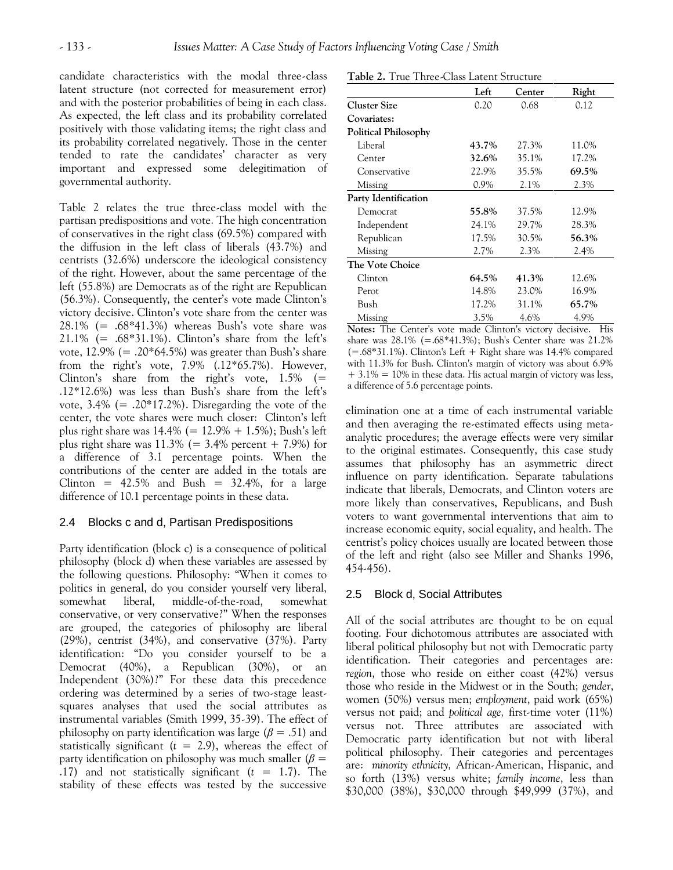candidate characteristics with the modal three-class latent structure (not corrected for measurement error) and with the posterior probabilities of being in each class. As expected, the left class and its probability correlated positively with those validating items; the right class and its probability correlated negatively. Those in the center tended to rate the candidates' character as very important and expressed some delegitimation of governmental authority.

Table 2 relates the true three-class model with the partisan predispositions and vote. The high concentration of conservatives in the right class (69.5%) compared with the diffusion in the left class of liberals (43.7%) and centrists (32.6%) underscore the ideological consistency of the right. However, about the same percentage of the left (55.8%) are Democrats as of the right are Republican (56.3%). Consequently, the center's vote made Clinton's victory decisive. Clinton's vote share from the center was 28.1%  $(= .68*41.3%)$  whereas Bush's vote share was  $21.1\%$  (= .68\*31.1%). Clinton's share from the left's vote,  $12.9\%$  (= .20\*64.5%) was greater than Bush's share from the right's vote, 7.9% (.12\*65.7%). However, Clinton's share from the right's vote,  $1.5\%$  (= .12\*12.6%) was less than Bush's share from the left's vote,  $3.4\%$  (= .20\*17.2%). Disregarding the vote of the center, the vote shares were much closer: Clinton's left plus right share was  $14.4\%$  (=  $12.9\% + 1.5\%$ ); Bush's left plus right share was  $11.3\%$  (= 3.4% percent + 7.9%) for a difference of 3.1 percentage points. When the contributions of the center are added in the totals are Clinton =  $42.5\%$  and Bush =  $32.4\%$ , for a large difference of 10.1 percentage points in these data.

# 2.4 Blocks c and d, Partisan Predispositions

Party identification (block c) is a consequence of political philosophy (block d) when these variables are assessed by the following questions. Philosophy: "When it comes to politics in general, do you consider yourself very liberal, somewhat liberal, middle-of-the-road, somewhat conservative, or very conservative?" When the responses are grouped, the categories of philosophy are liberal (29%), centrist (34%), and conservative (37%). Party identification: "Do you consider yourself to be a Democrat (40%), a Republican (30%), or an Independent (30%)?" For these data this precedence ordering was determined by a series of two-stage leastsquares analyses that used the social attributes as instrumental variables (Smith 1999, 35-39). The effect of philosophy on party identification was large ( $\beta$  = .51) and statistically significant  $(t = 2.9)$ , whereas the effect of party identification on philosophy was much smaller (*β* = .17) and not statistically significant (*t* = 1.7). The stability of these effects was tested by the successive

| Table 2. True Three-Class Latent Structure |         |        |                  |  |  |  |
|--------------------------------------------|---------|--------|------------------|--|--|--|
|                                            | Left    | Center | Right            |  |  |  |
| <b>Cluster Size</b>                        | 0.20    | 0.68   | 0.12             |  |  |  |
| Covariates:                                |         |        |                  |  |  |  |
| <b>Political Philosophy</b>                |         |        |                  |  |  |  |
| Liberal                                    | 43.7%   | 27.3%  | 11.0%            |  |  |  |
| Center                                     | 32.6%   | 35.1%  | 17.2%            |  |  |  |
| Conservative                               | 22.9%   | 35.5%  | 69.5%            |  |  |  |
| Missing                                    | $0.9\%$ | 2.1%   | 2.3%             |  |  |  |
| Party Identification                       |         |        |                  |  |  |  |
| Democrat                                   | 55.8%   | 37.5%  | 12.9%            |  |  |  |
| Independent                                | 24.1%   | 29.7%  | 28.3%            |  |  |  |
| Republican                                 | 17.5%   | 30.5%  | 56.3%            |  |  |  |
| Missing                                    | 2.7%    | 2.3%   | 2.4%             |  |  |  |
| The Vote Choice                            |         |        |                  |  |  |  |
| Clinton                                    | 64.5%   | 41.3%  | 12.6%            |  |  |  |
| Perot                                      | 14.8%   | 23.0%  | 16.9%            |  |  |  |
| Bush                                       | 17.2%   | 31.1%  | 65.7%            |  |  |  |
| Missing                                    | 3.5%    | 4.6%   | 4.9%             |  |  |  |
| $\cdot$ $\cdot$<br>$\bullet$               | <b></b> |        | х.<br><b>TT.</b> |  |  |  |

**Notes:** The Center's vote made Clinton's victory decisive. His share was  $28.1\%$  (=.68\*41.3%); Bush's Center share was  $21.2\%$  $(= .68*31.1\%)$ . Clinton's Left + Right share was 14.4% compared with 11.3% for Bush. Clinton's margin of victory was about 6.9%  $+ 3.1\% = 10\%$  in these data. His actual margin of victory was less, a difference of 5.6 percentage points.

elimination one at a time of each instrumental variable and then averaging the re-estimated effects using metaanalytic procedures; the average effects were very similar to the original estimates. Consequently, this case study assumes that philosophy has an asymmetric direct influence on party identification. Separate tabulations indicate that liberals, Democrats, and Clinton voters are more likely than conservatives, Republicans, and Bush voters to want governmental interventions that aim to increase economic equity, social equality, and health. The centrist's policy choices usually are located between those of the left and right (also see Miller and Shanks 1996, 454-456).

#### 2.5 Block d, Social Attributes

All of the social attributes are thought to be on equal footing. Four dichotomous attributes are associated with liberal political philosophy but not with Democratic party identification. Their categories and percentages are: *region*, those who reside on either coast (42%) versus those who reside in the Midwest or in the South; *gender*, women (50%) versus men; *employment*, paid work (65%) versus not paid; and *political age,* first-time voter (11%) versus not. Three attributes are associated with Democratic party identification but not with liberal political philosophy. Their categories and percentages are: *minority ethnicity,* African-American, Hispanic, and so forth (13%) versus white; *family income*, less than \$30,000 (38%), \$30,000 through \$49,999 (37%), and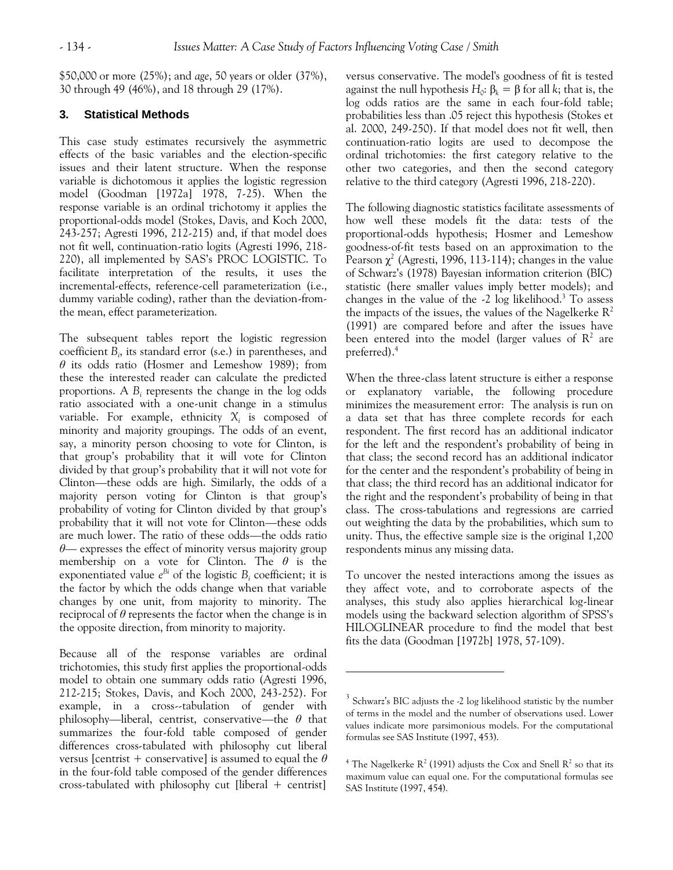$\overline{a}$ 

\$50,000 or more (25%); and *age*, 50 years or older (37%), 30 through 49 (46%), and 18 through 29 (17%).

# **3. Statistical Methods**

This case study estimates recursively the asymmetric effects of the basic variables and the election-specific issues and their latent structure. When the response variable is dichotomous it applies the logistic regression model (Goodman [1972a] 1978, 7-25). When the response variable is an ordinal trichotomy it applies the proportional-odds model (Stokes, Davis, and Koch 2000, 243-257; Agresti 1996, 212-215) and, if that model does not fit well, continuation-ratio logits (Agresti 1996, 218- 220), all implemented by SAS's PROC LOGISTIC. To facilitate interpretation of the results, it uses the incremental-effects, reference-cell parameterization (i.e., dummy variable coding), rather than the deviation-fromthe mean, effect parameterization.

The subsequent tables report the logistic regression coefficient *B<sup>i</sup>* , its standard error (s.e.) in parentheses, and *θ* its odds ratio (Hosmer and Lemeshow 1989); from these the interested reader can calculate the predicted proportions. A  $B_i$  represents the change in the log odds ratio associated with a one-unit change in a stimulus variable. For example, ethnicity *X<sup>i</sup>* is composed of minority and majority groupings. The odds of an event, say, a minority person choosing to vote for Clinton, is that group's probability that it will vote for Clinton divided by that group's probability that it will not vote for Clinton—these odds are high. Similarly, the odds of a majority person voting for Clinton is that group's probability of voting for Clinton divided by that group's probability that it will not vote for Clinton—these odds are much lower. The ratio of these odds—the odds ratio *θ*— expresses the effect of minority versus majority group membership on a vote for Clinton. The *θ* is the exponentiated value *e Bi* of the logistic *B<sup>i</sup>* coefficient; it is the factor by which the odds change when that variable changes by one unit, from majority to minority. The reciprocal of *θ* represents the factor when the change is in the opposite direction, from minority to majority.

Because all of the response variables are ordinal trichotomies, this study first applies the proportional-odds model to obtain one summary odds ratio (Agresti 1996, 212-215; Stokes, Davis, and Koch 2000, 243-252). For example, in a cross--tabulation of gender with philosophy—liberal, centrist, conservative—the *θ* that summarizes the four-fold table composed of gender differences cross-tabulated with philosophy cut liberal versus [centrist + conservative] is assumed to equal the *θ* in the four-fold table composed of the gender differences cross-tabulated with philosophy cut [liberal + centrist]

versus conservative. The model's goodness of fit is tested against the null hypothesis  $H_0$ :  $\beta_k = \beta$  for all *k*; that is, the log odds ratios are the same in each four-fold table; probabilities less than .05 reject this hypothesis (Stokes et al. 2000, 249-250). If that model does not fit well, then continuation-ratio logits are used to decompose the ordinal trichotomies: the first category relative to the other two categories, and then the second category relative to the third category (Agresti 1996, 218-220).

The following diagnostic statistics facilitate assessments of how well these models fit the data: tests of the proportional-odds hypothesis; Hosmer and Lemeshow goodness-of-fit tests based on an approximation to the Pearson  $\chi^2$  (Agresti, 1996, 113-114); changes in the value of Schwarz's (1978) Bayesian information criterion (BIC) statistic (here smaller values imply better models); and changes in the value of the  $-2 \log$  likelihood.<sup>3</sup> To assess the impacts of the issues, the values of the Nagelkerke  $\mathbb{R}^2$ (1991) are compared before and after the issues have been entered into the model (larger values of  $R^2$  are preferred).<sup>4</sup>

When the three-class latent structure is either a response or explanatory variable, the following procedure minimizes the measurement error: The analysis is run on a data set that has three complete records for each respondent. The first record has an additional indicator for the left and the respondent's probability of being in that class; the second record has an additional indicator for the center and the respondent's probability of being in that class; the third record has an additional indicator for the right and the respondent's probability of being in that class. The cross-tabulations and regressions are carried out weighting the data by the probabilities, which sum to unity. Thus, the effective sample size is the original 1,200 respondents minus any missing data.

To uncover the nested interactions among the issues as they affect vote, and to corroborate aspects of the analyses, this study also applies hierarchical log-linear models using the backward selection algorithm of SPSS's HILOGLINEAR procedure to find the model that best fits the data (Goodman [1972b] 1978, 57-109).

 $3$  Schwarz's BIC adjusts the -2 log likelihood statistic by the number of terms in the model and the number of observations used. Lower values indicate more parsimonious models. For the computational formulas see SAS Institute (1997, 453).

<sup>&</sup>lt;sup>4</sup> The Nagelkerke  $R^2$  (1991) adjusts the Cox and Snell  $R^2$  so that its maximum value can equal one. For the computational formulas see SAS Institute (1997, 454).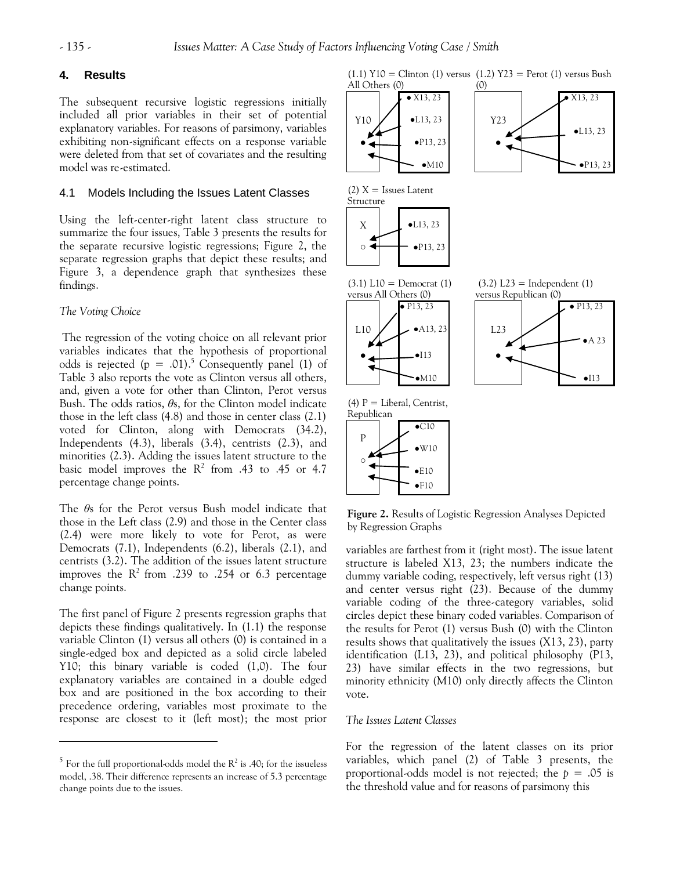#### **4. Results**

The subsequent recursive logistic regressions initially included all prior variables in their set of potential explanatory variables. For reasons of parsimony, variables exhibiting non-significant effects on a response variable were deleted from that set of covariates and the resulting model was re-estimated.

# 4.1 Models Including the Issues Latent Classes

Using the left-center-right latent class structure to summarize the four issues, Table 3 presents the results for the separate recursive logistic regressions; Figure 2, the separate regression graphs that depict these results; and Figure 3, a dependence graph that synthesizes these findings.

#### *The Voting Choice*

 $\overline{a}$ 

The regression of the voting choice on all relevant prior variables indicates that the hypothesis of proportional odds is rejected ( $p = .01$ ).<sup>5</sup> Consequently panel (1) of Table 3 also reports the vote as Clinton versus all others, and, given a vote for other than Clinton, Perot versus Bush. The odds ratios, *θ*s, for the Clinton model indicate those in the left class (4.8) and those in center class (2.1) voted for Clinton, along with Democrats (34.2), Independents (4.3), liberals (3.4), centrists (2.3), and minorities (2.3). Adding the issues latent structure to the basic model improves the  $R^2$  from .43 to .45 or 4.7 percentage change points.

The *θ*s for the Perot versus Bush model indicate that those in the Left class (2.9) and those in the Center class (2.4) were more likely to vote for Perot, as were Democrats (7.1), Independents (6.2), liberals (2.1), and centrists (3.2). The addition of the issues latent structure improves the  $R^2$  from .239 to .254 or 6.3 percentage change points.

The first panel of Figure 2 presents regression graphs that depicts these findings qualitatively. In (1.1) the response variable Clinton (1) versus all others (0) is contained in a single-edged box and depicted as a solid circle labeled Y10; this binary variable is coded (1,0). The four explanatory variables are contained in a double edged box and are positioned in the box according to their precedence ordering, variables most proximate to the response are closest to it (left most); the most prior

 $(1.1)$  Y10 = Clinton (1) versus  $(1.2)$  Y23 = Perot (1) versus Bush



**Figure 2.** Results of Logistic Regression Analyses Depicted by Regression Graphs

variables are farthest from it (right most). The issue latent structure is labeled X13, 23; the numbers indicate the dummy variable coding, respectively, left versus right (13) and center versus right (23). Because of the dummy variable coding of the three-category variables, solid circles depict these binary coded variables. Comparison of the results for Perot (1) versus Bush (0) with the Clinton results shows that qualitatively the issues (X13, 23), party identification (L13, 23), and political philosophy (P13, 23) have similar effects in the two regressions, but minority ethnicity (M10) only directly affects the Clinton vote.

#### *The Issues Latent Classes*

For the regression of the latent classes on its prior variables, which panel (2) of Table 3 presents, the proportional-odds model is not rejected; the *p* = .05 is the threshold value and for reasons of parsimony this

 $5$  For the full proportional-odds model the  $R^2$  is .40; for the issueless model, .38. Their difference represents an increase of 5.3 percentage change points due to the issues.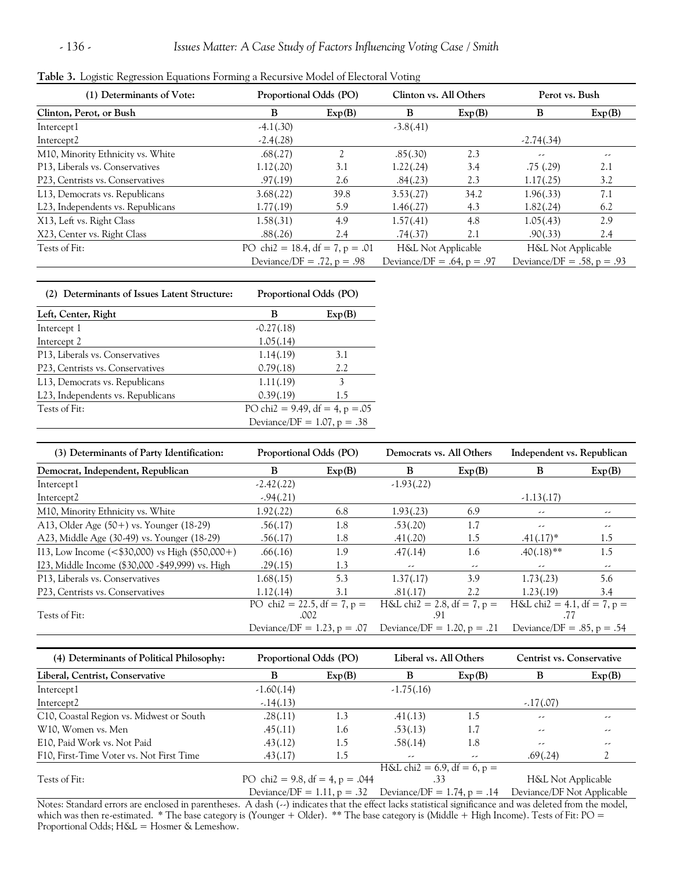| (1) Determinants of Vote:         | Proportional Odds (PO)          |                                 | Clinton vs. All Others       |                               | Perot vs. Bush                  |        |
|-----------------------------------|---------------------------------|---------------------------------|------------------------------|-------------------------------|---------------------------------|--------|
| Clinton, Perot, or Bush           | B                               | Exp(B)                          | B                            | Exp(B)                        | B                               | Exp(B) |
| Intercept1                        | $-4.1(.30)$                     |                                 | $-3.8(.41)$                  |                               |                                 |        |
| Intercept2                        | $-2.4(.28)$                     |                                 |                              |                               | $-2.74(.34)$                    |        |
| M10, Minority Ethnicity vs. White | .68(.27)                        | 2                               | .85(.30)                     | 2.3                           | --                              | --     |
| P13, Liberals vs. Conservatives   | 1.12(.20)                       | 3.1                             | 1.22(.24)                    | 3.4                           | .75(.29)                        | 2.1    |
| P23, Centrists vs. Conservatives  | .97(.19)                        | 2.6                             | .84(.23)                     | 2.3                           | 1.17(.25)                       | 3.2    |
| L13, Democrats vs. Republicans    | 3.68(.22)                       | 39.8                            | 3.53(.27)                    | 34.2                          | 1.96(.33)                       | 7.1    |
| L23, Independents vs. Republicans | 1.77(0.19)                      | 5.9                             | 1.46(.27)                    | 4.3                           | 1.82(.24)                       | 6.2    |
| X13, Left vs. Right Class         | 1.58(.31)                       | 4.9                             | 1.57(.41)                    | 4.8                           | 1.05(.43)                       | 2.9    |
| X23, Center vs. Right Class       | .88(.26)                        | 2.4                             | .74(.37)                     | 2.1                           | .90(.33)                        | 2.4    |
| Tests of Fit:                     |                                 | PO chi2 = 18.4, df = 7, p = .01 |                              | <b>H&amp;L Not Applicable</b> | H&L Not Applicable              |        |
|                                   | Deviance/DF = $.72$ , p = $.98$ |                                 | Deviance/DF = .64, $p = .97$ |                               | Deviance/DF = $.58$ , p = $.93$ |        |

| (2) Determinants of Issues Latent Structure:   | Proportional Odds (PO)            |        |  |  |
|------------------------------------------------|-----------------------------------|--------|--|--|
| Left, Center, Right                            | в                                 | Exp(B) |  |  |
| Intercept 1                                    | $-0.27(0.18)$                     |        |  |  |
| Intercept 2                                    | 1.05(.14)                         |        |  |  |
| P13, Liberals vs. Conservatives                | 1.14(.19)                         | 3.1    |  |  |
| P23, Centrists vs. Conservatives               | 0.79(.18)                         | 2.2    |  |  |
| L13, Democrats vs. Republicans                 | 1.11(.19)                         | 3      |  |  |
| L <sub>23</sub> , Independents vs. Republicans | 0.39(.19)                         | 1.5    |  |  |
| Tests of Fit:                                  | PO chi2 = 9.49, df = 4, $p = .05$ |        |  |  |
|                                                | Deviance/DF = $1.07$ , p = .38    |        |  |  |

| (3) Determinants of Party Identification:                             | Proportional Odds (PO)         |        | Democrats vs. All Others      |        | Independent vs. Republican      |        |
|-----------------------------------------------------------------------|--------------------------------|--------|-------------------------------|--------|---------------------------------|--------|
| Democrat, Independent, Republican                                     | B                              | Exp(B) | B                             | Exp(B) | B                               | Exp(B) |
| Intercept1                                                            | $-2.42(.22)$                   |        | $-1.93(.22)$                  |        |                                 |        |
| Intercept <sub>2</sub>                                                | $-.94(.21)$                    |        |                               |        | $-1.13(0.17)$                   |        |
| M10, Minority Ethnicity vs. White                                     | 1.92(.22)                      | 6.8    | 1.93(.23)                     | 6.9    | --                              | --     |
| A13, Older Age $(50+)$ vs. Younger $(18-29)$                          | .56(.17)                       | 1.8    | .53(.20)                      | 1.7    | --                              | --     |
| A23, Middle Age (30-49) vs. Younger (18-29)                           | .56(.17)                       | 1.8    | .41(.20)                      | 1.5    | $.41(.17)^*$                    | 1.5    |
| I13, Low Income $(<\frac{1}{2}30,000)$ vs High $(\frac{1}{2}50,000+)$ | .66(.16)                       | 1.9    | .47(.14)                      | 1.6    | $.40(.18)$ **                   | 1.5    |
| I23, Middle Income (\$30,000 - \$49,999) vs. High                     | .29(.15)                       | 1.3    | --                            | --     | --                              | --     |
| P13, Liberals vs. Conservatives                                       | 1.68(.15)                      | 5.3    | 1.37(0.17)                    | 3.9    | 1.73(.23)                       | 5.6    |
| P23, Centrists vs. Conservatives                                      | 1.12(.14)                      | 3.1    | .81(.17)                      | 2.2    | 1.23(0.19)                      | 3.4    |
|                                                                       | PO chi2 = 22.5, df = 7, p =    |        | H&L chi2 = 2.8, df = 7, $p =$ |        | $H&L$ chi2 = 4.1, df = 7, p =   |        |
| Tests of Fit:                                                         | .002                           |        | .91                           |        | .77                             |        |
|                                                                       | Deviance/DF = $1.23$ , p = .07 |        | Deviance/DF = 1.20, $p = .21$ |        | Deviance/DF = $.85$ , p = $.54$ |        |

| (4) Determinants of Political Philosophy: | Proportional Odds (PO)                                      |        | Liberal vs. All Others        |        | Centrist vs. Conservative  |        |
|-------------------------------------------|-------------------------------------------------------------|--------|-------------------------------|--------|----------------------------|--------|
| Liberal, Centrist, Conservative           | в                                                           | Exp(B) | B                             | Exp(B) | в                          | Exp(B) |
| Intercept1                                | $-1.60(.14)$                                                |        | $-1.75(.16)$                  |        |                            |        |
| Intercept2                                | $-.14(.13)$                                                 |        |                               |        | $-.17(.07)$                |        |
| C10, Coastal Region vs. Midwest or South  | .28(.11)                                                    | 1.3    | .41(.13)                      | 1.5    | --                         | --     |
| W10, Women vs. Men                        | .45(.11)                                                    | 1.6    | .53(.13)                      | 1.7    | --                         | --     |
| E10, Paid Work vs. Not Paid               | .43(.12)                                                    | 1.5    | .58(.14)                      | 1.8    | --                         | --     |
| F10, First-Time Voter vs. Not First Time  | .43(.17)                                                    | 1.5    | --                            | --     | .69(.24)                   |        |
|                                           |                                                             |        | $H&L$ chi2 = 6.9, df = 6, p = |        |                            |        |
| Tests of Fit:                             | PO chi2 = 9.8, df = 4, p = .044                             |        | .33                           |        | H&L Not Applicable         |        |
|                                           | Deviance/DF = 1.11, $p = .32$ Deviance/DF = 1.74, $p = .14$ |        |                               |        | Deviance/DF Not Applicable |        |

Notes: Standard errors are enclosed in parentheses. A dash (--) indicates that the effect lacks statistical significance and was deleted from the model, which was then re-estimated. \* The base category is (Younger + Older). \*\* The base category is (Middle + High Income). Tests of Fit: PO = Proportional Odds; H&L = Hosmer & Lemeshow.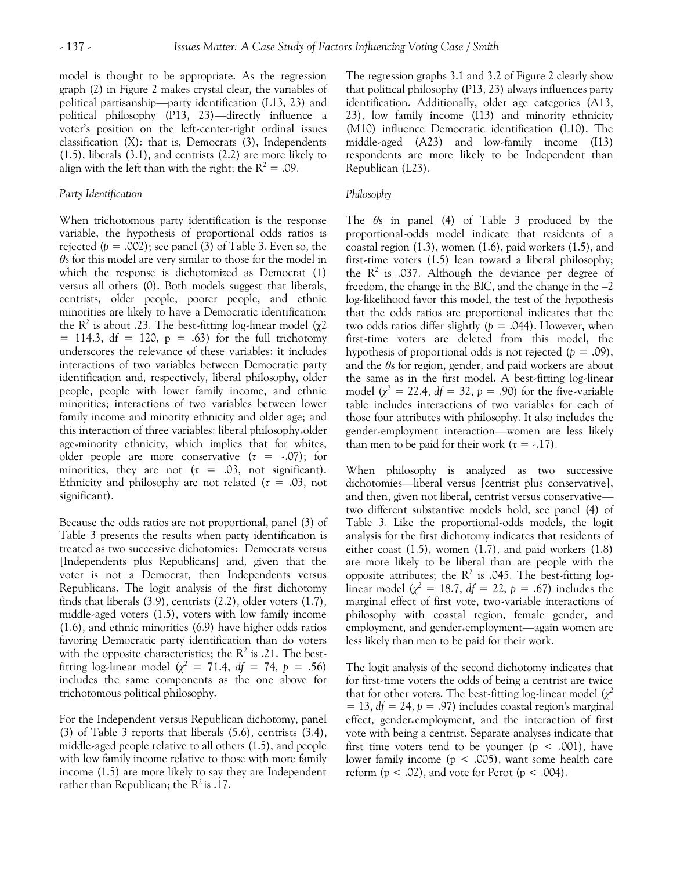model is thought to be appropriate. As the regression graph (2) in Figure 2 makes crystal clear, the variables of political partisanship—party identification (L13, 23) and political philosophy (P13, 23)—directly influence a voter's position on the left-center-right ordinal issues classification (X): that is, Democrats (3), Independents (1.5), liberals (3.1), and centrists (2.2) are more likely to align with the left than with the right; the  $R^2 = .09$ .

#### *Party Identification*

When trichotomous party identification is the response variable, the hypothesis of proportional odds ratios is rejected  $(p = .002)$ ; see panel (3) of Table 3. Even so, the *θ*s for this model are very similar to those for the model in which the response is dichotomized as Democrat (1) versus all others (0). Both models suggest that liberals, centrists, older people, poorer people, and ethnic minorities are likely to have a Democratic identification; the R<sup>2</sup> is about .23. The best-fitting log-linear model ( $χ2$  $= 114.3$ , df  $= 120$ ,  $p = .63$  for the full trichotomy underscores the relevance of these variables: it includes interactions of two variables between Democratic party identification and, respectively, liberal philosophy, older people, people with lower family income, and ethnic minorities; interactions of two variables between lower family income and minority ethnicity and older age; and this interaction of three variables: liberal philosophy\*older age\*minority ethnicity, which implies that for whites, older people are more conservative  $(\tau = -.07)$ ; for minorities, they are not  $(\tau = .03, \text{ not significant}).$ Ethnicity and philosophy are not related ( $\tau = .03$ , not significant).

Because the odds ratios are not proportional, panel (3) of Table 3 presents the results when party identification is treated as two successive dichotomies: Democrats versus [Independents plus Republicans] and, given that the voter is not a Democrat, then Independents versus Republicans. The logit analysis of the first dichotomy finds that liberals (3.9), centrists (2.2), older voters (1.7), middle-aged voters (1.5), voters with low family income (1.6), and ethnic minorities (6.9) have higher odds ratios favoring Democratic party identification than do voters with the opposite characteristics; the  $R^2$  is .21. The bestfitting log-linear model  $(\chi^2 = 71.4, df = 74, p = .56)$ includes the same components as the one above for trichotomous political philosophy.

For the Independent versus Republican dichotomy, panel (3) of Table 3 reports that liberals (5.6), centrists (3.4), middle-aged people relative to all others (1.5), and people with low family income relative to those with more family income (1.5) are more likely to say they are Independent rather than Republican; the  $R^2$  is .17.

The regression graphs 3.1 and 3.2 of Figure 2 clearly show that political philosophy (P13, 23) always influences party identification. Additionally, older age categories (A13, 23), low family income (I13) and minority ethnicity (M10) influence Democratic identification (L10). The middle-aged (A23) and low-family income (I13) respondents are more likely to be Independent than Republican (L23).

## *Philosophy*

The *θ*s in panel (4) of Table 3 produced by the proportional-odds model indicate that residents of a coastal region (1.3), women (1.6), paid workers (1.5), and first-time voters (1.5) lean toward a liberal philosophy; the  $R^2$  is .037. Although the deviance per degree of freedom, the change in the BIC, and the change in the  $-2$ log-likelihood favor this model, the test of the hypothesis that the odds ratios are proportional indicates that the two odds ratios differ slightly  $(p = .044)$ . However, when first-time voters are deleted from this model, the hypothesis of proportional odds is not rejected  $(p = .09)$ , and the *θ*s for region, gender, and paid workers are about the same as in the first model. A best-fitting log-linear model  $(\chi^2 = 22.4, df = 32, p = .90)$  for the five-variable table includes interactions of two variables for each of those four attributes with philosophy. It also includes the gender\*employment interaction—women are less likely than men to be paid for their work  $(\tau = -17)$ .

When philosophy is analyzed as two successive dichotomies—liberal versus [centrist plus conservative], and then, given not liberal, centrist versus conservative two different substantive models hold, see panel (4) of Table 3. Like the proportional-odds models, the logit analysis for the first dichotomy indicates that residents of either coast (1.5), women (1.7), and paid workers (1.8) are more likely to be liberal than are people with the opposite attributes; the  $\mathbb{R}^2$  is .045. The best-fitting loglinear model ( $\chi^2 = 18.7$ ,  $df = 22$ ,  $p = .67$ ) includes the marginal effect of first vote, two-variable interactions of philosophy with coastal region, female gender, and employment, and gender\*employment—again women are less likely than men to be paid for their work.

The logit analysis of the second dichotomy indicates that for first-time voters the odds of being a centrist are twice that for other voters. The best-fitting log-linear model  $(\chi^2)$  $= 13$ ,  $df = 24$ ,  $p = .97$ ) includes coastal region's marginal effect, gender\*employment, and the interaction of first vote with being a centrist. Separate analyses indicate that first time voters tend to be younger ( $p < .001$ ), have lower family income ( $p < .005$ ), want some health care reform  $(p < .02)$ , and vote for Perot  $(p < .004)$ .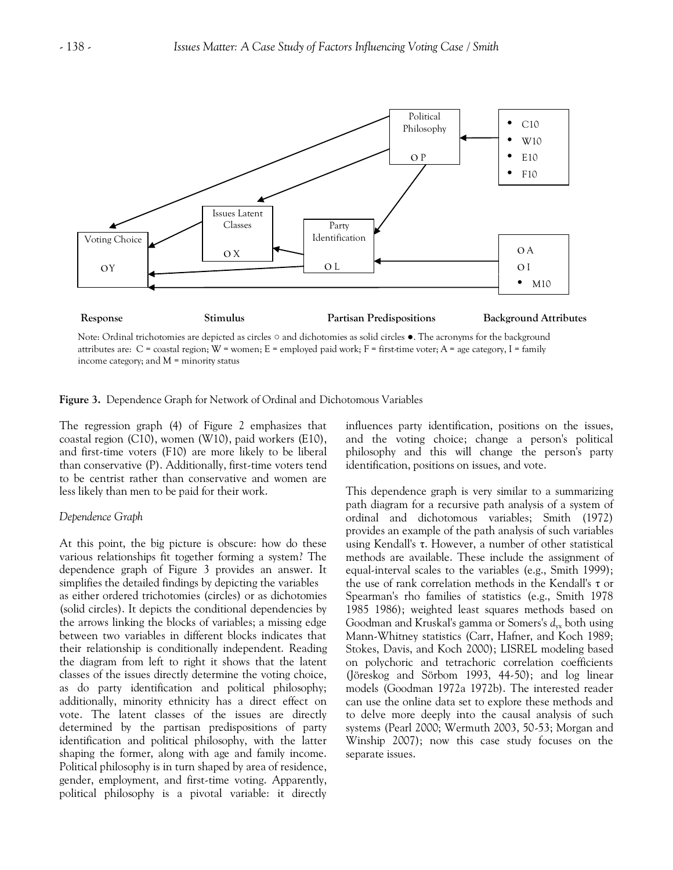

Note: Ordinal trichotomies are depicted as circles  $\circ$  and dichotomies as solid circles  $\bullet$ . The acronyms for the background attributes are:  $C =$  coastal region;  $W =$  women;  $E =$  employed paid work;  $F =$  first-time voter;  $A =$  age category,  $I =$  family income category; and  $M =$  minority status

**Figure 3.** Dependence Graph for Network of Ordinal and Dichotomous Variables

The regression graph (4) of Figure 2 emphasizes that coastal region (C10), women (W10), paid workers (E10), and first-time voters (F10) are more likely to be liberal than conservative (P). Additionally, first-time voters tend to be centrist rather than conservative and women are less likely than men to be paid for their work.

#### *Dependence Graph*

At this point, the big picture is obscure: how do these various relationships fit together forming a system? The dependence graph of Figure 3 provides an answer. It simplifies the detailed findings by depicting the variables as either ordered trichotomies (circles) or as dichotomies (solid circles). It depicts the conditional dependencies by the arrows linking the blocks of variables; a missing edge between two variables in different blocks indicates that their relationship is conditionally independent. Reading the diagram from left to right it shows that the latent classes of the issues directly determine the voting choice, as do party identification and political philosophy; additionally, minority ethnicity has a direct effect on vote. The latent classes of the issues are directly determined by the partisan predispositions of party identification and political philosophy, with the latter shaping the former, along with age and family income. Political philosophy is in turn shaped by area of residence, gender, employment, and first-time voting. Apparently, political philosophy is a pivotal variable: it directly influences party identification, positions on the issues, and the voting choice; change a person's political philosophy and this will change the person's party identification, positions on issues, and vote.

This dependence graph is very similar to a summarizing path diagram for a recursive path analysis of a system of ordinal and dichotomous variables; Smith (1972) provides an example of the path analysis of such variables using Kendall's τ. However, a number of other statistical methods are available. These include the assignment of equal-interval scales to the variables (e.g., Smith 1999); the use of rank correlation methods in the Kendall's  $\tau$  or Spearman's rho families of statistics (e.g., Smith 1978 1985 1986); weighted least squares methods based on Goodman and Kruskal's gamma or Somers's  $d_{vx}$  both using Mann-Whitney statistics (Carr, Hafner, and Koch 1989; Stokes, Davis, and Koch 2000); LISREL modeling based on polychoric and tetrachoric correlation coefficients (Jöreskog and Sörbom 1993, 44-50); and log linear models (Goodman 1972a 1972b). The interested reader can use the online data set to explore these methods and to delve more deeply into the causal analysis of such systems (Pearl 2000; Wermuth 2003, 50-53; Morgan and Winship 2007); now this case study focuses on the separate issues.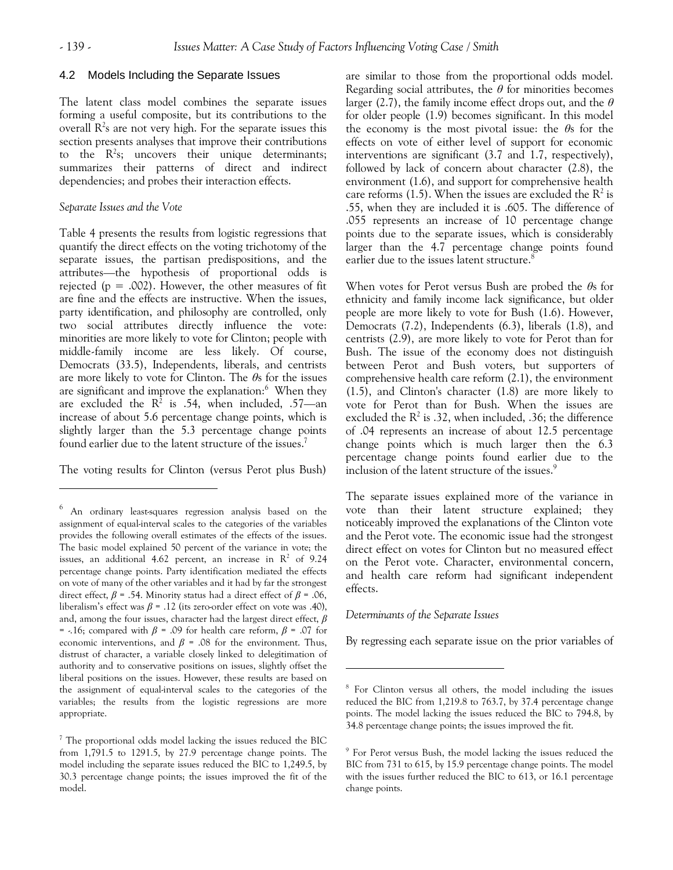$\overline{a}$ 

#### 4.2 Models Including the Separate Issues

The latent class model combines the separate issues forming a useful composite, but its contributions to the overall  $R^2$ s are not very high. For the separate issues this section presents analyses that improve their contributions to the  $R^2$ s; uncovers their unique determinants; summarizes their patterns of direct and indirect dependencies; and probes their interaction effects.

# *Separate Issues and the Vote*

Table 4 presents the results from logistic regressions that quantify the direct effects on the voting trichotomy of the separate issues, the partisan predispositions, and the attributes—the hypothesis of proportional odds is rejected ( $p = .002$ ). However, the other measures of fit are fine and the effects are instructive. When the issues, party identification, and philosophy are controlled, only two social attributes directly influence the vote: minorities are more likely to vote for Clinton; people with middle-family income are less likely. Of course, Democrats (33.5), Independents, liberals, and centrists are more likely to vote for Clinton. The *θ*s for the issues are significant and improve the explanation:<sup>6</sup> When they are excluded the  $R^2$  is .54, when included, .57—an increase of about 5.6 percentage change points, which is slightly larger than the 5.3 percentage change points found earlier due to the latent structure of the issues.<sup>7</sup>

The voting results for Clinton (versus Perot plus Bush)

are similar to those from the proportional odds model. Regarding social attributes, the *θ* for minorities becomes larger (2.7), the family income effect drops out, and the *θ* for older people (1.9) becomes significant. In this model the economy is the most pivotal issue: the *θ*s for the effects on vote of either level of support for economic interventions are significant (3.7 and 1.7, respectively), followed by lack of concern about character (2.8), the environment (1.6), and support for comprehensive health care reforms (1.5). When the issues are excluded the  $R^2$  is .55, when they are included it is .605. The difference of .055 represents an increase of 10 percentage change points due to the separate issues, which is considerably larger than the 4.7 percentage change points found earlier due to the issues latent structure.<sup>8</sup>

When votes for Perot versus Bush are probed the *θ*s for ethnicity and family income lack significance, but older people are more likely to vote for Bush (1.6). However, Democrats (7.2), Independents (6.3), liberals (1.8), and centrists (2.9), are more likely to vote for Perot than for Bush. The issue of the economy does not distinguish between Perot and Bush voters, but supporters of comprehensive health care reform (2.1), the environment (1.5), and Clinton's character (1.8) are more likely to vote for Perot than for Bush. When the issues are excluded the  $\mathbb{R}^2$  is .32, when included, .36; the difference of .04 represents an increase of about 12.5 percentage change points which is much larger then the 6.3 percentage change points found earlier due to the inclusion of the latent structure of the issues.<sup>9</sup>

The separate issues explained more of the variance in vote than their latent structure explained; they noticeably improved the explanations of the Clinton vote and the Perot vote. The economic issue had the strongest direct effect on votes for Clinton but no measured effect on the Perot vote. Character, environmental concern, and health care reform had significant independent effects.

# *Determinants of the Separate Issues*

 $\overline{a}$ 

By regressing each separate issue on the prior variables of

<sup>6</sup> An ordinary least-squares regression analysis based on the assignment of equal-interval scales to the categories of the variables provides the following overall estimates of the effects of the issues. The basic model explained 50 percent of the variance in vote; the issues, an additional 4.62 percent, an increase in  $\mathbb{R}^2$  of 9.24 percentage change points. Party identification mediated the effects on vote of many of the other variables and it had by far the strongest direct effect,  $\beta$  = .54. Minority status had a direct effect of  $\beta$  = .06, liberalism's effect was  $\beta$  = .12 (its zero-order effect on vote was .40), and, among the four issues, character had the largest direct effect, *β* = -.16; compared with *β* = .09 for health care reform, *β* = .07 for economic interventions, and  $\beta$  = .08 for the environment. Thus, distrust of character, a variable closely linked to delegitimation of authority and to conservative positions on issues, slightly offset the liberal positions on the issues. However, these results are based on the assignment of equal-interval scales to the categories of the variables; the results from the logistic regressions are more appropriate.

<sup>7</sup> The proportional odds model lacking the issues reduced the BIC from 1,791.5 to 1291.5, by 27.9 percentage change points. The model including the separate issues reduced the BIC to 1,249.5, by 30.3 percentage change points; the issues improved the fit of the model.

<sup>8</sup> For Clinton versus all others, the model including the issues reduced the BIC from 1,219.8 to 763.7, by 37.4 percentage change points. The model lacking the issues reduced the BIC to 794.8, by 34.8 percentage change points; the issues improved the fit.

<sup>9</sup> For Perot versus Bush, the model lacking the issues reduced the BIC from 731 to 615, by 15.9 percentage change points. The model with the issues further reduced the BIC to 613, or 16.1 percentage change points.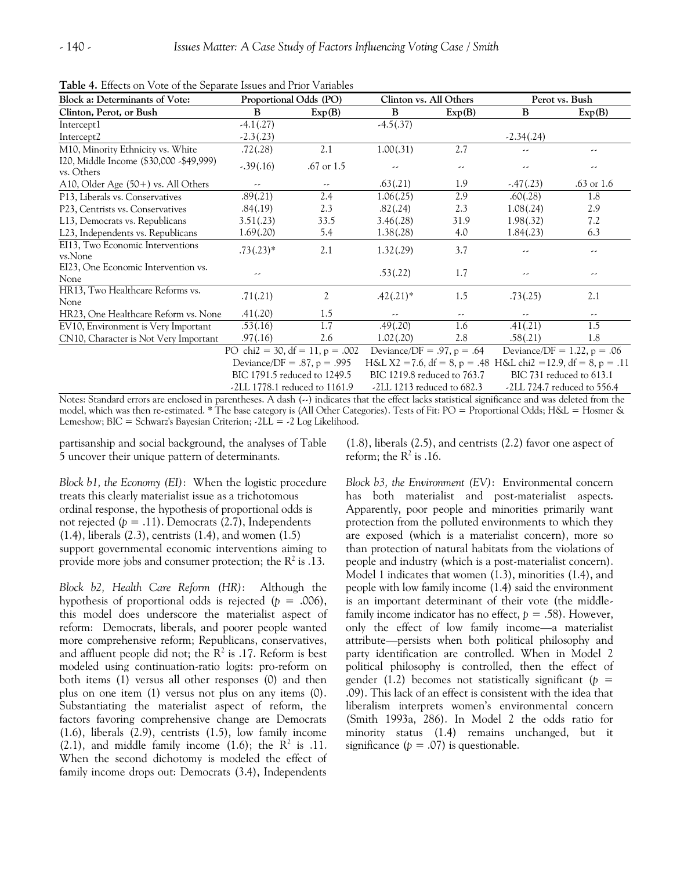| <b>Block a: Determinants of Vote:</b>                  |              | Proportional Odds (PO)                       | Clinton vs. All Others       |        | Perot vs. Bush                                                 |                                |
|--------------------------------------------------------|--------------|----------------------------------------------|------------------------------|--------|----------------------------------------------------------------|--------------------------------|
| Clinton, Perot, or Bush                                | B            | Exp(B)                                       | B                            | Exp(B) | B                                                              | Exp(B)                         |
| Intercept1                                             | $-4.1(0.27)$ |                                              | $-4.5(.37)$                  |        |                                                                |                                |
| Intercept <sub>2</sub>                                 | $-2.3(0.23)$ |                                              |                              |        | $-2.34(.24)$                                                   |                                |
| M10, Minority Ethnicity vs. White                      | .72(.28)     | 2.1                                          | 1.00(.31)                    | 2.7    | --                                                             | --                             |
| I20, Middle Income (\$30,000 - \$49,999)<br>vs. Others | $-.39(.16)$  | $.67 \text{ or } 1.5$                        | --                           | --     | --                                                             | --                             |
| A10, Older Age $(50+)$ vs. All Others                  | --           | --                                           | .63(.21)                     | 1.9    | $-.47(.23)$                                                    | $.63$ or $1.6$                 |
| P13, Liberals vs. Conservatives                        | .89(.21)     | 2.4                                          | 1.06(.25)                    | 2.9    | .60(.28)                                                       | 1.8                            |
| P23, Centrists vs. Conservatives                       | .84(.19)     | 2.3                                          | .82(.24)                     | 2.3    | 1.08(.24)                                                      | 2.9                            |
| L13, Democrats vs. Republicans                         | 3.51(.23)    | 33.5                                         | 3.46(.28)                    | 31.9   | 1.98(.32)                                                      | 7.2                            |
| L23, Independents vs. Republicans                      | 1.69(.20)    | 5.4                                          | 1.38(.28)                    | 4.0    | 1.84(.23)                                                      | 6.3                            |
| EI13, Two Economic Interventions<br>vs.None            | $.73(.23)*$  | 2.1                                          | 1.32(.29)                    | 3.7    | --                                                             | --                             |
| EI23, One Economic Intervention vs.<br>None            | --           |                                              | .53(.22)                     | 1.7    | --                                                             | --                             |
| HR13, Two Healthcare Reforms vs.<br>None               | .71(.21)     | 2                                            | $.42(.21)*$                  | 1.5    | .73(.25)                                                       | 2.1                            |
| HR23, One Healthcare Reform vs. None                   | .41(.20)     | 1.5                                          | --                           | --     | --                                                             | --                             |
| EV10, Environment is Very Important                    | .53(.16)     | 1.7                                          | .49(.20)                     | 1.6    | .41(.21)                                                       | 1.5                            |
| CN10, Character is Not Very Important                  | .97(.16)     | 2.6                                          | 1.02(.20)                    | 2.8    | .58(.21)                                                       | 1.8                            |
|                                                        |              | $\overline{PO}$ chi2 = 30, df = 11, p = .002 | Deviance/DF = $.97, p = .64$ |        |                                                                | Deviance/DF = $1.22$ , p = .06 |
|                                                        |              | Deviance/DF = $.87, p = .995$                |                              |        | H&L X2 = 7.6, df = 8, p = .48 H&L chi2 = 12.9, df = 8, p = .11 |                                |

**Table 4.** Effects on Vote of the Separate Issues and Prior Variables

Deviance/DF = .87, p = .995 H&L X2 = 7.6, df = 8, p = .48 H&L chi2 = 12.9, df = 8, p = .11 BIC 1791.5 reduced to 1249.5 BIC 1219.8 reduced to 763.7 BIC 731 reduced to 613.1 -2LL 1778.1 reduced to 1161.9 -2LL 1213 reduced to 682.3 -2LL 724.7 reduced to 556.4

Notes: Standard errors are enclosed in parentheses. A dash (--) indicates that the effect lacks statistical significance and was deleted from the model, which was then re-estimated. \* The base category is (All Other Categories). Tests of Fit: PO = Proportional Odds; H&L = Hosmer & Lemeshow; BIC = Schwarz's Bayesian Criterion; -2LL = -2 Log Likelihood.

partisanship and social background, the analyses of Table 5 uncover their unique pattern of determinants.

*Block b1, the Economy (EI)*:When the logistic procedure treats this clearly materialist issue as a trichotomous ordinal response, the hypothesis of proportional odds is not rejected  $(p = .11)$ . Democrats  $(2.7)$ , Independents (1.4), liberals (2.3), centrists (1.4), and women (1.5) support governmental economic interventions aiming to provide more jobs and consumer protection; the  $\mathbb{R}^2$  is .13.

*Block b2, Health Care Reform (HR)*: Although the hypothesis of proportional odds is rejected  $(p = .006)$ , this model does underscore the materialist aspect of reform: Democrats, liberals, and poorer people wanted more comprehensive reform; Republicans, conservatives, and affluent people did not; the  $R^2$  is .17. Reform is best modeled using continuation-ratio logits: pro-reform on both items (1) versus all other responses (0) and then plus on one item (1) versus not plus on any items (0). Substantiating the materialist aspect of reform, the factors favoring comprehensive change are Democrats (1.6), liberals (2.9), centrists (1.5), low family income  $(2.1)$ , and middle family income  $(1.6)$ ; the R<sup>2</sup> is .11. When the second dichotomy is modeled the effect of family income drops out: Democrats (3.4), Independents

(1.8), liberals (2.5), and centrists (2.2) favor one aspect of reform; the  $\mathbb{R}^2$  is .16.

*Block b3, the Environment (EV)*: Environmental concern has both materialist and post-materialist aspects. Apparently, poor people and minorities primarily want protection from the polluted environments to which they are exposed (which is a materialist concern), more so than protection of natural habitats from the violations of people and industry (which is a post-materialist concern). Model 1 indicates that women (1.3), minorities (1.4), and people with low family income (1.4) said the environment is an important determinant of their vote (the middlefamily income indicator has no effect,  $p = .58$ ). However, only the effect of low family income—a materialist attribute—persists when both political philosophy and party identification are controlled. When in Model 2 political philosophy is controlled, then the effect of gender (1.2) becomes not statistically significant ( $p =$ .09). This lack of an effect is consistent with the idea that liberalism interprets women's environmental concern (Smith 1993a, 286). In Model 2 the odds ratio for minority status (1.4) remains unchanged, but it significance  $(p = .07)$  is questionable.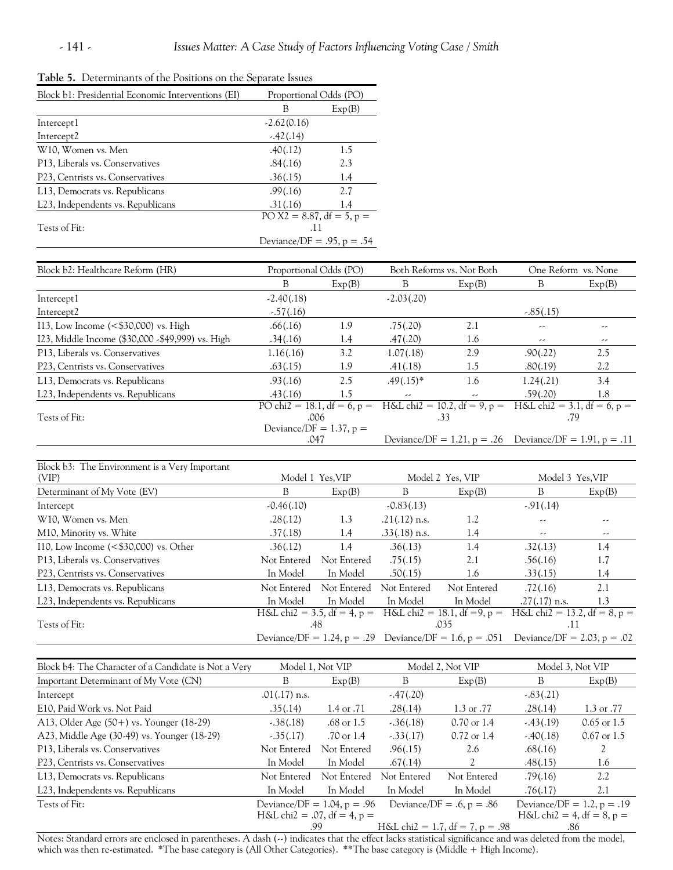| Block b1: Presidential Economic Interventions (EI) | Proportional Odds (PO)       |        |  |  |
|----------------------------------------------------|------------------------------|--------|--|--|
|                                                    | В                            | Exp(B) |  |  |
| Intercept1                                         | $-2.62(0.16)$                |        |  |  |
| Intercept <sub>2</sub>                             | $-.42(.14)$                  |        |  |  |
| W <sub>10</sub> , Women vs. Men                    | .40(.12)                     | 1.5    |  |  |
| P13, Liberals vs. Conservatives                    | .84(.16)                     | 2.3    |  |  |
| P23, Centrists vs. Conservatives                   | .36(.15)                     | 1.4    |  |  |
| L13, Democrats vs. Republicans                     | .99(.16)                     | 2.7    |  |  |
| L <sub>23</sub> , Independents vs. Republicans     | .31(.16)                     | 1.4    |  |  |
|                                                    | PO X2 = 8.87, df = 5, $p =$  |        |  |  |
| Tests of Fit:                                      | .11                          |        |  |  |
|                                                    | Deviance/DF = $.95, p = .54$ |        |  |  |
|                                                    |                              |        |  |  |

| Table 5. Determinants of the Positions on the Separate Issues |  |
|---------------------------------------------------------------|--|
|---------------------------------------------------------------|--|

| Block b2: Healthcare Reform (HR)                  | Proportional Odds (PO)      |        | Both Reforms vs. Not Both |                                                             | One Reform vs. None |                               |
|---------------------------------------------------|-----------------------------|--------|---------------------------|-------------------------------------------------------------|---------------------|-------------------------------|
|                                                   | B                           | Exp(B) | B                         | Exp(B)                                                      | В                   | Exp(B)                        |
| Intercept1                                        | $-2.40(.18)$                |        | $-2.03(.20)$              |                                                             |                     |                               |
| Intercept2                                        | $-.57(.16)$                 |        |                           |                                                             | $-.85(.15)$         |                               |
| 113, Low Income $(<\frac{1}{2}30,000)$ vs. High   | .66(.16)                    | 1.9    | .75(.20)                  | 2.1                                                         | --                  | --                            |
| I23, Middle Income (\$30,000 - \$49,999) vs. High | .34(.16)                    | 1.4    | .47(.20)                  | 1.6                                                         | --                  | --                            |
| P13, Liberals vs. Conservatives                   | 1.16(.16)                   | 3.2    | 1.07(.18)                 | 2.9                                                         | .90(.22)            | 2.5                           |
| P23, Centrists vs. Conservatives                  | .63(.15)                    | 1.9    | .41(.18)                  | 1.5                                                         | .80(.19)            | 2.2                           |
| L13, Democrats vs. Republicans                    | .93(.16)                    | 2.5    | $.49(.15)*$               | 1.6                                                         | 1.24(.21)           | 3.4                           |
| L23, Independents vs. Republicans                 | .43(.16)                    | 1.5    | --                        | --                                                          | .59(.20)            | 1.8                           |
|                                                   | PO chi2 = 18.1, df = 6, p = |        |                           | $H&L$ chi2 = 10.2, df = 9, p =                              |                     | $H&L$ chi2 = 3.1, df = 6, p = |
| Tests of Fit:                                     | .006                        |        | .33                       |                                                             | .79                 |                               |
|                                                   | Deviance/DF = $1.37$ , p =  |        |                           |                                                             |                     |                               |
|                                                   | .047                        |        |                           | Deviance/DF = 1.21, $p = .26$ Deviance/DF = 1.91, $p = .11$ |                     |                               |

| Block b3: The Environment is a Very Important    |                                                          |                  |                 |                  |                                                                                     |        |  |
|--------------------------------------------------|----------------------------------------------------------|------------------|-----------------|------------------|-------------------------------------------------------------------------------------|--------|--|
| (VIP)                                            |                                                          | Model 1 Yes, VIP |                 | Model 2 Yes, VIP | Model 3 Yes, VIP                                                                    |        |  |
| Determinant of My Vote (EV)                      | B                                                        | Exp(B)           | B               | Exp(B)           | B                                                                                   | Exp(B) |  |
| Intercept                                        | $-0.46(.10)$                                             |                  | $-0.83(0.13)$   |                  | $-91(.14)$                                                                          |        |  |
| W10, Women vs. Men                               | .28(.12)                                                 | 1.3              | $.21(.12)$ n.s. | 1.2              | --                                                                                  | --     |  |
| M10, Minority vs. White                          | .37(.18)                                                 | 1.4              | $.33(.18)$ n.s. | 1.4              | --                                                                                  | --     |  |
| 110, Low Income $(<\frac{1}{2}30,000)$ vs. Other | .36(.12)                                                 | 1.4              | .36(.13)        | 1.4              | .32(.13)                                                                            | 1.4    |  |
| P <sub>13</sub> , Liberals vs. Conservatives     | Not Entered                                              | Not Entered      | .75(.15)        | 2.1              | .56(.16)                                                                            | 1.7    |  |
| P23, Centrists vs. Conservatives                 | In Model                                                 | In Model         | .50(.15)        | 1.6              | .33(.15)                                                                            | 1.4    |  |
| L13, Democrats vs. Republicans                   | Not Entered                                              | Not Entered      | Not Entered     | Not Entered      | .72(.16)                                                                            | 2.1    |  |
| L <sub>23</sub> , Independents vs. Republicans   | In Model                                                 | In Model         | In Model        | In Model         | $.27(.17)$ n.s.                                                                     | 1.3    |  |
|                                                  | H&L chi2 = 3.5, df = 4, p = H&L chi2 = 18.1, df = 9, p = |                  |                 |                  | $H&L$ chi2 = 13.2, df = 8, p =                                                      |        |  |
| Tests of Fit:                                    |                                                          | .48              |                 | .035             | ٠H.                                                                                 |        |  |
|                                                  |                                                          |                  |                 |                  | Deviance/DF = 1.24, p = .29 Deviance/DF = 1.6, p = .051 Deviance/DF = 2.03, p = .02 |        |  |

| Block b4: The Character of a Candidate is Not a Very |                                | Model 1, Not VIP      |             | Model 2, Not VIP                | Model 3, Not VIP             |                                      |  |  |
|------------------------------------------------------|--------------------------------|-----------------------|-------------|---------------------------------|------------------------------|--------------------------------------|--|--|
| Important Determinant of My Vote (CN)                | B                              | Exp(B)                | B           | Exp(B)                          | В                            | Exp(B)                               |  |  |
| Intercept                                            | $.01(.17)$ n.s.                |                       | $-.47(.20)$ |                                 | $-.83(.21)$                  |                                      |  |  |
| E10, Paid Work vs. Not Paid                          | .35(.14)                       | 1.4 or .71            | .28(.14)    | 1.3 or $.77$                    | .28(.14)                     | $1.3 \text{ or } .77$                |  |  |
| A13, Older Age (50+) vs. Younger (18-29)             | $-.38(.18)$                    | .68 or $1.5$          | $-.36(.18)$ | $0.70 \text{ or } 1.4$          | $-43(0.19)$                  | $0.65$ or 1.5                        |  |  |
| A23, Middle Age (30-49) vs. Younger (18-29)          | $-0.35(0.17)$                  | $.70 \text{ or } 1.4$ | $-.33(.17)$ | $0.72$ or 1.4                   | $-.40(.18)$                  | $0.67$ or 1.5                        |  |  |
| P13, Liberals vs. Conservatives                      | Not Entered                    | Not Entered           | .96(.15)    | 2.6                             | .68(.16)                     |                                      |  |  |
| P23, Centrists vs. Conservatives                     | In Model                       | In Model              | .67(.14)    | 2                               | .48(.15)                     | 1.6                                  |  |  |
| L13, Democrats vs. Republicans                       | Not Entered                    | Not Entered           | Not Entered | Not Entered                     | .79(.16)                     | 2.2                                  |  |  |
| L23, Independents vs. Republicans                    | In Model                       | In Model              | In Model    | In Model                        | .76(.17)                     | 2.1                                  |  |  |
| Tests of Fit:                                        | Deviance/DF = $1.04$ , p = .96 |                       |             | Deviance/DF = $.6, p = .86$     | Deviance/DF = 1.2, $p = .19$ |                                      |  |  |
|                                                      | $H&L$ chi2 = .07, df = 4, p =  |                       |             |                                 |                              | $H\&L \text{ chi2} = 4, df = 8, p =$ |  |  |
|                                                      |                                | .99                   |             | H&L chi2 = 1.7, df = 7, p = .98 | .86                          |                                      |  |  |

Notes: Standard errors are enclosed in parentheses. A dash (--) indicates that the effect lacks statistical significance and was deleted from the model, which was then re-estimated. \*The base category is (All Other Categories). \*\*The base category is (Middle + High Income).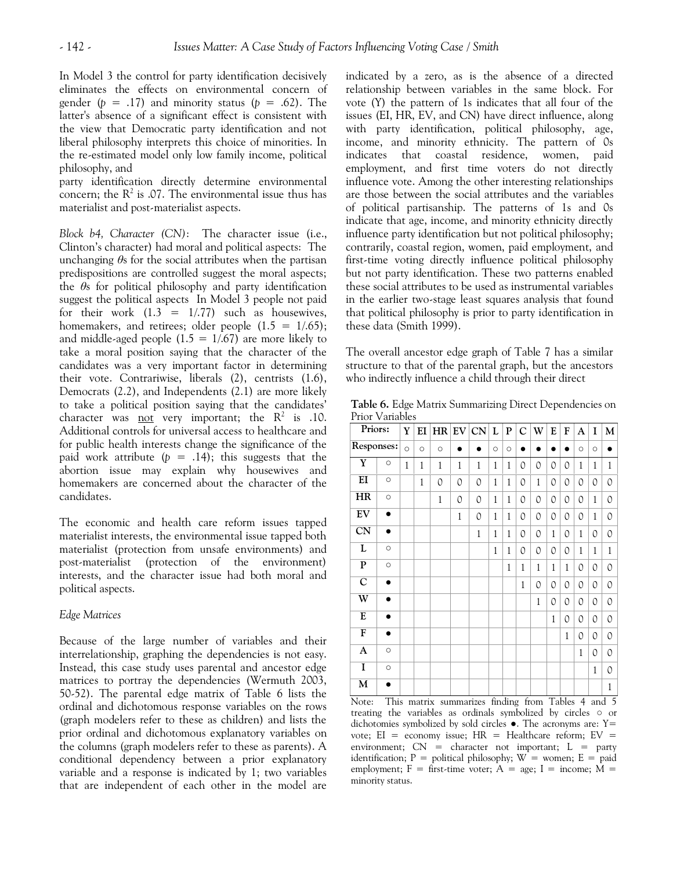In Model 3 the control for party identification decisively eliminates the effects on environmental concern of gender ( $p = .17$ ) and minority status ( $p = .62$ ). The latter's absence of a significant effect is consistent with the view that Democratic party identification and not liberal philosophy interprets this choice of minorities. In the re-estimated model only low family income, political philosophy, and

party identification directly determine environmental concern; the  $\mathbb{R}^2$  is .07. The environmental issue thus has materialist and post-materialist aspects.

*Block b4, Character (CN)*: The character issue (i.e., Clinton's character) had moral and political aspects: The unchanging *θ*s for the social attributes when the partisan predispositions are controlled suggest the moral aspects; the *θ*s for political philosophy and party identification suggest the political aspects In Model 3 people not paid for their work  $(1.3 = 1/0.77)$  such as housewives, homemakers, and retirees; older people  $(1.5 = 1/0.65)$ ; and middle-aged people  $(1.5 = 1/0.67)$  are more likely to take a moral position saying that the character of the candidates was a very important factor in determining their vote. Contrariwise, liberals (2), centrists (1.6), Democrats (2.2), and Independents (2.1) are more likely to take a political position saying that the candidates' character was <u>not</u> very important; the  $R^2$  is .10. Additional controls for universal access to healthcare and for public health interests change the significance of the paid work attribute  $(p = .14)$ ; this suggests that the abortion issue may explain why housewives and homemakers are concerned about the character of the candidates.

The economic and health care reform issues tapped materialist interests, the environmental issue tapped both materialist (protection from unsafe environments) and post-materialist (protection of the environment) interests, and the character issue had both moral and political aspects.

# *Edge Matrices*

Because of the large number of variables and their interrelationship, graphing the dependencies is not easy. Instead, this case study uses parental and ancestor edge matrices to portray the dependencies (Wermuth 2003, 50-52). The parental edge matrix of Table 6 lists the ordinal and dichotomous response variables on the rows (graph modelers refer to these as children) and lists the prior ordinal and dichotomous explanatory variables on the columns (graph modelers refer to these as parents). A conditional dependency between a prior explanatory variable and a response is indicated by 1; two variables that are independent of each other in the model are

indicated by a zero, as is the absence of a directed relationship between variables in the same block. For vote (Y) the pattern of 1s indicates that all four of the issues (EI, HR, EV, and CN) have direct influence, along with party identification, political philosophy, age, income, and minority ethnicity. The pattern of 0s indicates that coastal residence, women, paid employment, and first time voters do not directly influence vote. Among the other interesting relationships are those between the social attributes and the variables of political partisanship. The patterns of 1s and 0s indicate that age, income, and minority ethnicity directly influence party identification but not political philosophy; contrarily, coastal region, women, paid employment, and first-time voting directly influence political philosophy but not party identification. These two patterns enabled these social attributes to be used as instrumental variables in the earlier two-stage least squares analysis that found that political philosophy is prior to party identification in these data (Smith 1999).

The overall ancestor edge graph of Table 7 has a similar structure to that of the parental graph, but the ancestors who indirectly influence a child through their direct

**Table 6.** Edge Matrix Summarizing Direct Dependencies on Prior Variables

| Priors:                 |           | Y            | EI           |              |              | $HR$ EV $ CN $ | L            | ${\bf P}$    | $\mathsf{C}$ | W            | E            | F            | A            | I            | $\mathbf{M}$ |
|-------------------------|-----------|--------------|--------------|--------------|--------------|----------------|--------------|--------------|--------------|--------------|--------------|--------------|--------------|--------------|--------------|
| Responses:              |           | $\circ$      | $\circ$      | $\circ$      |              |                | $\circ$      | $\circ$      | ٠            |              |              |              | $\circ$      | $\circ$      |              |
| $\overline{\textbf{Y}}$ | $\circ$   | $\mathbf{1}$ | $\mathbf{1}$ | 1            | 1            | 1              | 1            | $1\,$        | 0            | 0            | 0            | 0            | $\mathbf{1}$ | 1            | 1            |
| $\overline{EI}$         | $\circ$   |              | 1            | 0            | 0            | 0              | 1            | $\mathbf{1}$ | 0            | $\mathbf{1}$ | 0            | 0            | 0            | 0            | 0            |
| HR                      | $\circ$   |              |              | $\mathbf{1}$ | 0            | 0              | $\mathbf{1}$ | $\mathbf{1}$ | 0            | 0            | 0            | 0            | 0            | 1            | 0            |
| $E$ V                   | $\bullet$ |              |              |              | $\mathbf{1}$ | 0              | $\mathbf{1}$ | $\mathbf{1}$ | 0            | 0            | 0            | 0            | 0            | $\mathbf{1}$ | 0            |
| $\overline{\text{CN}}$  | $\bullet$ |              |              |              |              | 1              | 1            | $\mathbf{1}$ | 0            | 0            | 1            | 0            | $\mathbf{1}$ | 0            | 0            |
| L                       | $\circ$   |              |              |              |              |                | 1            | $\mathbf{1}$ | 0            | 0            | 0            | 0            | 1            | 1            | 1            |
| ${\bf P}$               | $\circ$   |              |              |              |              |                |              | $\,1$        | $\,1$        | $\mathbf{1}$ | $\mathbf{1}$ | $\mathbf{1}$ | 0            | 0            | 0            |
| $\overline{C}$          | $\bullet$ |              |              |              |              |                |              |              | 1            | 0            | 0            | 0            | 0            | 0            | 0            |
| W                       |           |              |              |              |              |                |              |              |              | 1            | 0            | 0            | 0            | 0            | 0            |
| E                       | $\bullet$ |              |              |              |              |                |              |              |              |              | 1            | 0            | 0            | 0            | 0            |
| $\overline{\mathbf{F}}$ |           |              |              |              |              |                |              |              |              |              |              | 1            | 0            | 0            | 0            |
| A                       | $\circ$   |              |              |              |              |                |              |              |              |              |              |              | 1            | 0            | 0            |
| I                       | $\circ$   |              |              |              |              |                |              |              |              |              |              |              |              | $\mathbf{1}$ | 0            |
| M                       |           |              |              |              |              |                |              |              |              |              |              |              |              |              | 1            |

Note: This matrix summarizes finding from Tables 4 and 5 treating the variables as ordinals symbolized by circles ○ or dichotomies symbolized by sold circles ●. The acronyms are: Y= vote;  $EI$  = economy issue;  $HR$  = Healthcare reform;  $EV$  = environment;  $CN =$  character not important;  $L =$  party identification;  $P =$  political philosophy;  $W =$  women;  $E =$  paid employment;  $F =$  first-time voter;  $A = age$ ;  $I =$  income;  $M =$ minority status.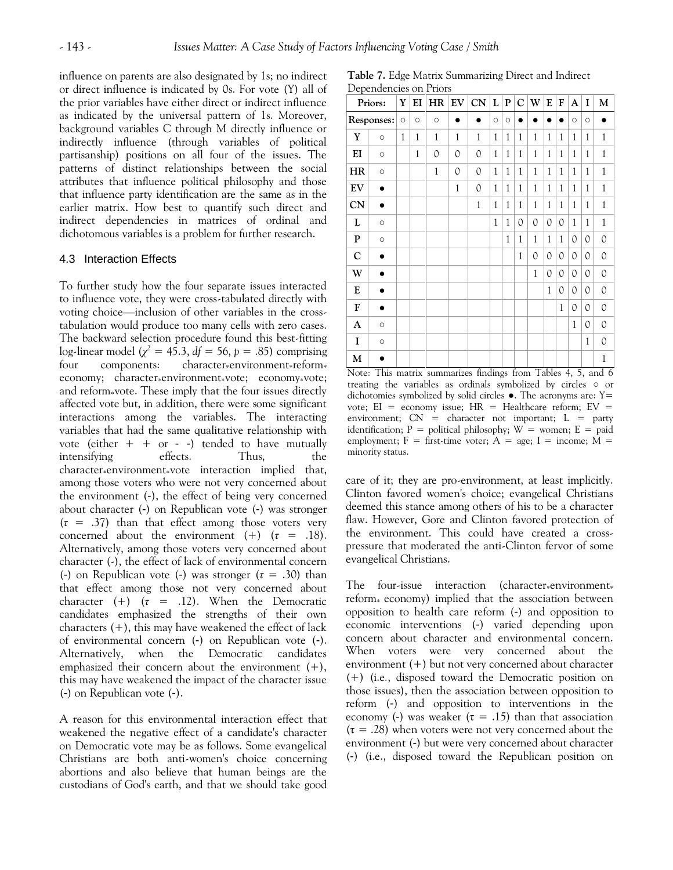influence on parents are also designated by 1s; no indirect or direct influence is indicated by 0s. For vote (Y) all of the prior variables have either direct or indirect influence as indicated by the universal pattern of 1s. Moreover, background variables C through M directly influence or indirectly influence (through variables of political partisanship) positions on all four of the issues. The patterns of distinct relationships between the social attributes that influence political philosophy and those that influence party identification are the same as in the earlier matrix. How best to quantify such direct and indirect dependencies in matrices of ordinal and dichotomous variables is a problem for further research.

#### 4.3 Interaction Effects

To further study how the four separate issues interacted to influence vote, they were cross-tabulated directly with voting choice—inclusion of other variables in the crosstabulation would produce too many cells with zero cases. The backward selection procedure found this best-fitting log-linear model  $(\chi^2 = 45.3, df = 56, p = .85)$  comprising four components: character\*environment\* reform\* economy; character\*environment\*vote; economy\*vote; and reform vote. These imply that the four issues directly affected vote but, in addition, there were some significant interactions among the variables. The interacting variables that had the same qualitative relationship with vote (either  $+ +$  or - -) tended to have mutually intensifying effects. Thus, the character\*environment\*vote interaction implied that, among those voters who were not very concerned about the environment (-), the effect of being very concerned about character (-) on Republican vote (-) was stronger (*τ* = .37) than that effect among those voters very concerned about the environment  $(+)$   $(\tau = .18)$ . Alternatively, among those voters very concerned about character (-), the effect of lack of environmental concern (-) on Republican vote (-) was stronger (*τ* = .30) than that effect among those not very concerned about character  $(+)$   $(\tau = .12)$ . When the Democratic candidates emphasized the strengths of their own characters  $(+)$ , this may have weakened the effect of lack of environmental concern (-) on Republican vote (-). Alternatively, when the Democratic candidates emphasized their concern about the environment  $(+)$ , this may have weakened the impact of the character issue (-) on Republican vote (-).

A reason for this environmental interaction effect that weakened the negative effect of a candidate's character on Democratic vote may be as follows. Some evangelical Christians are both anti-women's choice concerning abortions and also believe that human beings are the custodians of God's earth, and that we should take good

**Table 7.** Edge Matrix Summarizing Direct and Indirect Dependencies on Priors

|             | Priors:    | Y            | EI           | HR      | ${\rm EV}$   | CN           | L            | ${\bf P}$ | $\mathbf C$  | W             | E            | F            | A             | I            | M            |
|-------------|------------|--------------|--------------|---------|--------------|--------------|--------------|-----------|--------------|---------------|--------------|--------------|---------------|--------------|--------------|
|             | Responses: | $\circ$      | $\circ$      | $\circ$ |              |              | $\circ$      | $\circ$   |              |               |              |              | $\circ$       | $\circ$      |              |
| $\mathbf Y$ | $\circ$    | $\mathbf{1}$ | $\mathbf{1}$ | 1       | $\mathbf{1}$ | $\mathbf{1}$ | $\mathbf{1}$ | 1         | $\mathbf{1}$ | $\mathbf{1}$  | $\mathbf{1}$ | 1            | $\mathbf{1}$  | $\mathbf{1}$ | $\mathbf 1$  |
| EI          | $\circ$    |              | 1            | 0       | 0            | 0            | $\mathbf{1}$ | 1         | $\mathbf{1}$ | 1             | $\mathbf{1}$ | 1            | 1             | 1            | 1            |
| HR          | $\circ$    |              |              | $\,1$   | 0            | 0            | $\,1$        | 1         | $\mathbf{1}$ | $\mathbf{1}$  | $\mathbf{1}$ | $\mathbf{1}$ | 1             | $\,1$        | $\mathbf{1}$ |
| EV          |            |              |              |         | $\mathbf{1}$ | 0            | $\mathbf{1}$ | 1         | $\mathbf{1}$ | 1             | $\mathbf{1}$ | $\mathbf{1}$ | $\mathbf{1}$  | $\mathbf{1}$ | $\mathbf{1}$ |
| <b>CN</b>   | $\bullet$  |              |              |         |              | $\mathbf{1}$ | $\mathbf{1}$ | 1         | $\mathbf{1}$ | $\mathbf{1}$  | $\mathbf{1}$ | $\mathbf{1}$ | $\mathbf{1}$  | 1            | 1            |
| L           | $\circ$    |              |              |         |              |              | $\mathbf{1}$ | 1         | 0            | $\mathcal{O}$ | 0            | 0            | $\mathbf{1}$  | $\mathbf{1}$ | $\mathbf{1}$ |
| ${\bf P}$   | $\circ$    |              |              |         |              |              |              | 1         | 1            | 1             | $\mathbf{1}$ | 1            | 0             | 0            | 0            |
| $\mathbf C$ |            |              |              |         |              |              |              |           | 1            | $\mathcal{O}$ | 0            | 0            | $\mathcal{O}$ | 0            | 0            |
| W           |            |              |              |         |              |              |              |           |              | 1             | 0            | 0            | 0             | 0            | 0            |
| E           |            |              |              |         |              |              |              |           |              |               | $\mathbf{1}$ | 0            | $\mathcal{O}$ | 0            | 0            |
| F           | n          |              |              |         |              |              |              |           |              |               |              | 1            | $\mathcal{O}$ | 0            | 0            |
| A           | $\circ$    |              |              |         |              |              |              |           |              |               |              |              | $\mathbf{1}$  | 0            | 0            |
| 1           | $\circ$    |              |              |         |              |              |              |           |              |               |              |              |               | 1            | 0            |
| M           |            |              |              |         |              |              |              |           |              |               |              |              |               |              | $\mathbf{1}$ |

Note: This matrix summarizes findings from Tables 4, 5, and 6 treating the variables as ordinals symbolized by circles ○ or dichotomies symbolized by solid circles  $\bullet$ . The acronyms are: Y= vote;  $EI = economy$  issue;  $HR = Healthcare$  reform;  $EV =$ environment;  $CN =$  character not important;  $L =$  party identification;  $P =$  political philosophy;  $W =$  women;  $E =$  paid employment;  $F =$  first-time voter;  $A = age$ ;  $I = income$ ;  $M =$ minority status.

care of it; they are pro-environment, at least implicitly. Clinton favored women's choice; evangelical Christians deemed this stance among others of his to be a character flaw. However, Gore and Clinton favored protection of the environment. This could have created a crosspressure that moderated the anti-Clinton fervor of some evangelical Christians.

The four-issue interaction (character $*$ environment $*$ reform<sub>\*</sub> economy) implied that the association between opposition to health care reform (-) and opposition to economic interventions (-) varied depending upon concern about character and environmental concern. When voters were very concerned about the environment (+) but not very concerned about character (+) (i.e*.*, disposed toward the Democratic position on those issues), then the association between opposition to reform (-) and opposition to interventions in the economy (-) was weaker ( $\tau = .15$ ) than that association  $(\tau = .28)$  when voters were not very concerned about the environment (-) but were very concerned about character (-) (i.e., disposed toward the Republican position on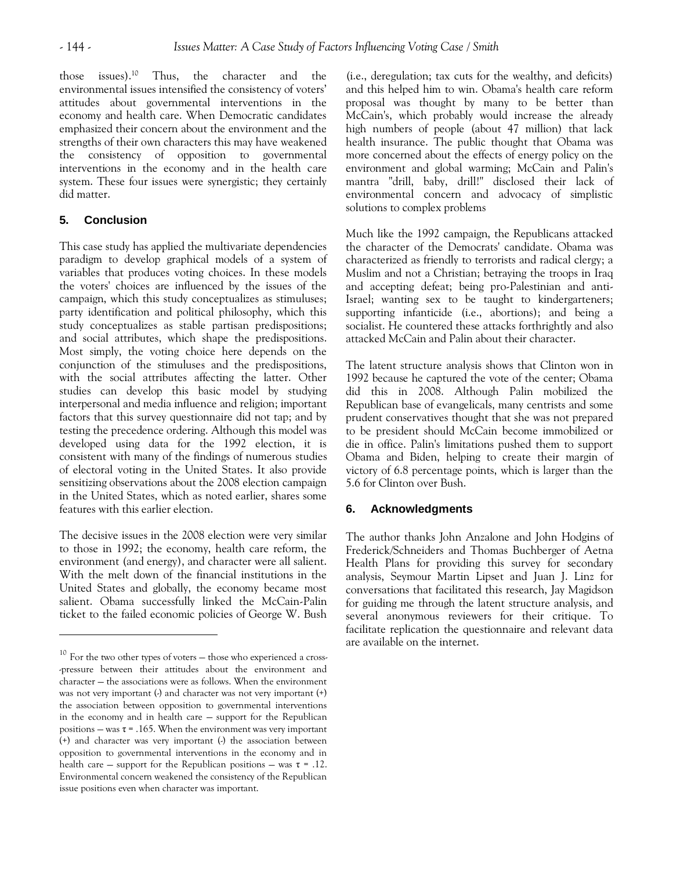those issues).<sup>10</sup> Thus, the character and the environmental issues intensified the consistency of voters' attitudes about governmental interventions in the economy and health care. When Democratic candidates emphasized their concern about the environment and the strengths of their own characters this may have weakened the consistency of opposition to governmental interventions in the economy and in the health care system. These four issues were synergistic; they certainly did matter.

# **5. Conclusion**

 $\overline{a}$ 

This case study has applied the multivariate dependencies paradigm to develop graphical models of a system of variables that produces voting choices. In these models the voters' choices are influenced by the issues of the campaign, which this study conceptualizes as stimuluses; party identification and political philosophy, which this study conceptualizes as stable partisan predispositions; and social attributes, which shape the predispositions. Most simply, the voting choice here depends on the conjunction of the stimuluses and the predispositions, with the social attributes affecting the latter. Other studies can develop this basic model by studying interpersonal and media influence and religion; important factors that this survey questionnaire did not tap; and by testing the precedence ordering. Although this model was developed using data for the 1992 election, it is consistent with many of the findings of numerous studies of electoral voting in the United States. It also provide sensitizing observations about the 2008 election campaign in the United States, which as noted earlier, shares some features with this earlier election.

The decisive issues in the 2008 election were very similar to those in 1992; the economy, health care reform, the environment (and energy), and character were all salient. With the melt down of the financial institutions in the United States and globally, the economy became most salient. Obama successfully linked the McCain-Palin ticket to the failed economic policies of George W. Bush

(i.e., deregulation; tax cuts for the wealthy, and deficits) and this helped him to win. Obama's health care reform proposal was thought by many to be better than McCain's, which probably would increase the already high numbers of people (about 47 million) that lack health insurance. The public thought that Obama was more concerned about the effects of energy policy on the environment and global warming; McCain and Palin's mantra "drill, baby, drill!" disclosed their lack of environmental concern and advocacy of simplistic solutions to complex problems

Much like the 1992 campaign, the Republicans attacked the character of the Democrats' candidate. Obama was characterized as friendly to terrorists and radical clergy; a Muslim and not a Christian; betraying the troops in Iraq and accepting defeat; being pro-Palestinian and anti-Israel; wanting sex to be taught to kindergarteners; supporting infanticide (i.e., abortions); and being a socialist. He countered these attacks forthrightly and also attacked McCain and Palin about their character.

The latent structure analysis shows that Clinton won in 1992 because he captured the vote of the center; Obama did this in 2008. Although Palin mobilized the Republican base of evangelicals, many centrists and some prudent conservatives thought that she was not prepared to be president should McCain become immobilized or die in office. Palin's limitations pushed them to support Obama and Biden, helping to create their margin of victory of 6.8 percentage points, which is larger than the 5.6 for Clinton over Bush.

# **6. Acknowledgments**

The author thanks John Anzalone and John Hodgins of Frederick/Schneiders and Thomas Buchberger of Aetna Health Plans for providing this survey for secondary analysis, Seymour Martin Lipset and Juan J. Linz for conversations that facilitated this research, Jay Magidson for guiding me through the latent structure analysis, and several anonymous reviewers for their critique. To facilitate replication the questionnaire and relevant data are available on the internet.

 $10$  For the two other types of voters  $-$  those who experienced a cross--pressure between their attitudes about the environment and character — the associations were as follows. When the environment was not very important  $\left(\cdot\right)$  and character was not very important  $\left(\cdot\right)$ the association between opposition to governmental interventions in the economy and in health care — support for the Republican positions — was  $\tau$  = .165. When the environment was very important (+) and character was very important (-) the association between opposition to governmental interventions in the economy and in health care – support for the Republican positions – was  $\tau = .12$ . Environmental concern weakened the consistency of the Republican issue positions even when character was important.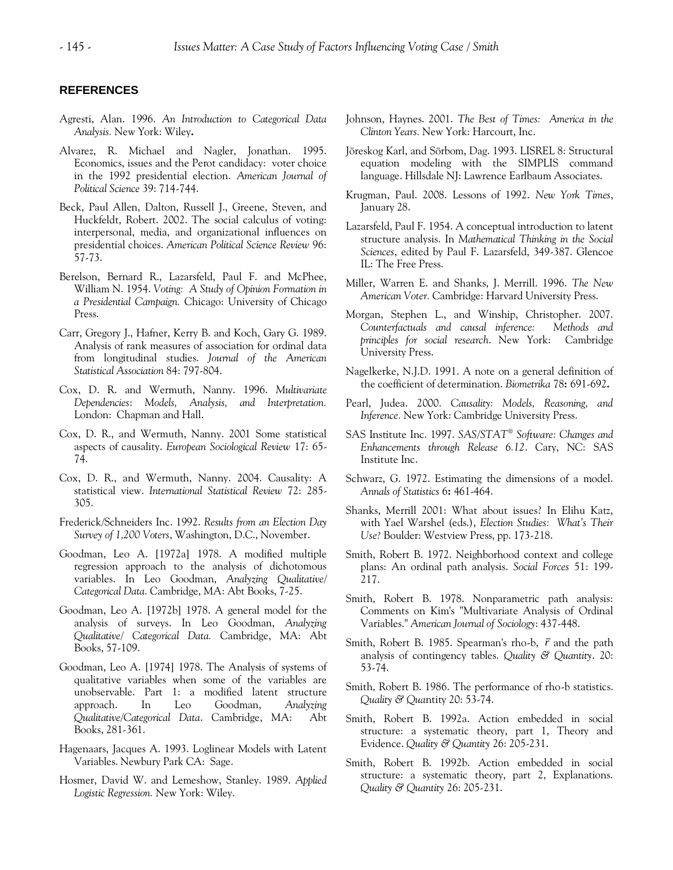## **REFERENCES**

- Agresti, Alan. 1996. *An Introduction to Categorical Data Analysis.* New York: Wiley**.**
- Alvarez, R. Michael and Nagler, Jonathan. 1995. Economics, issues and the Perot candidacy: voter choice in the 1992 presidential election. *American Journal of Political Science* 39: 714-744.
- Beck, Paul Allen, Dalton, Russell J., Greene, Steven, and Huckfeldt, Robert. 2002. The social calculus of voting: interpersonal, media, and organizational influences on presidential choices. *American Political Science Review* 96: 57-73.
- Berelson, Bernard R., Lazarsfeld, Paul F. and McPhee, William N. 1954. *Voting: A Study of Opinion Formation in a Presidential Campaign.* Chicago: University of Chicago Press.
- Carr, Gregory J., Hafner, Kerry B. and Koch, Gary G. 1989. Analysis of rank measures of association for ordinal data from longitudinal studies. *Journal of the American Statistical Association* 84: 797-804.
- Cox, D. R. and Wermuth, Nanny. 1996. *Multivariate Dependencies*: *Models, Analysis, and Interpretation.*  London: Chapman and Hall.
- Cox, D. R., and Wermuth, Nanny. 2001 Some statistical aspects of causality. *European Sociological Review* 17: 65- 74.
- Cox, D. R., and Wermuth, Nanny. 2004. Causality: A statistical view. *International Statistical Review* 72: 285- 305.
- Frederick/Schneiders Inc. 1992. *Results from an Election Day Survey of 1,200 Voters*, Washington, D.C., November.
- Goodman, Leo A. [1972a] 1978. A modified multiple regression approach to the analysis of dichotomous variables. In Leo Goodman, *Analyzing Qualitative/ Categorical Data.* Cambridge, MA: Abt Books, 7-25.
- Goodman, Leo A. [1972b] 1978. A general model for the analysis of surveys. In Leo Goodman, *Analyzing Qualitative/ Categorical Data.* Cambridge, MA: Abt Books, 57-109.
- Goodman, Leo A. [1974] 1978. The Analysis of systems of qualitative variables when some of the variables are unobservable. Part 1: a modified latent structure approach. In Leo Goodman, *Analyzing Qualitative/Categorical Data*. Cambridge, MA: Abt Books, 281-361.
- Hagenaars, Jacques A. 1993. Loglinear Models with Latent Variables. Newbury Park CA: Sage.
- Hosmer, David W. and Lemeshow, Stanley. 1989. *Applied Logistic Regression.* New York: Wiley.
- Johnson, Haynes. 2001. *The Best of Times: America in the Clinton Years.* New York: Harcourt, Inc.
- Jöreskog Karl, and Sörbom, Dag. 1993. LISREL 8: Structural equation modeling with the SIMPLIS command language. Hillsdale NJ: Lawrence Earlbaum Associates.
- Krugman, Paul. 2008. Lessons of 1992. *New York Times*, January 28.
- Lazarsfeld, Paul F. 1954. A conceptual introduction to latent structure analysis. In *Mathematical Thinking in the Social Sciences*, edited by Paul F. Lazarsfeld, 349-387. Glencoe IL: The Free Press.
- Miller, Warren E. and Shanks, J. Merrill. 1996. *The New American Voter.* Cambridge: Harvard University Press.
- Morgan, Stephen L., and Winship, Christopher. 2007. *Counterfactuals and causal inference: Methods and principles for social research*. New York: Cambridge University Press.
- Nagelkerke, N.J.D. 1991. A note on a general definition of the coefficient of determination. *Biometrika* 78**:** 691-692**.**
- Pearl, Judea. 2000. *Causality: Models, Reasoning, and Inference.* New York: Cambridge University Press.
- SAS Institute Inc. 1997. *SAS/STAT® Software: Changes and Enhancements through Release 6.12*. Cary, NC: SAS Institute Inc.
- Schwarz, G. 1972. Estimating the dimensions of a model. *Annals of Statistics* 6**:** 461-464.
- Shanks, Merrill 2001: What about issues? In Elihu Katz, with Yael Warshel (eds.), *Election Studies: What's Their Use?* Boulder: Westview Press, pp. 173-218.
- Smith, Robert B. 1972. Neighborhood context and college plans: An ordinal path analysis. *Social Forces* 51: 199- 217.
- Smith, Robert B. 1978. Nonparametric path analysis: Comments on Kim's "Multivariate Analysis of Ordinal Variables." *American Journal of Sociology*: 437-448.
- Smith, Robert B. 1985. Spearman's rho-b, *r* and the path analysis of contingency tables. *Quality & Quantity*. 20: 53-74.
- Smith, Robert B. 1986. The performance of rho-b statistics. *Quality & Qua*ntity 20: 53-74.
- Smith, Robert B. 1992a. Action embedded in social structure: a systematic theory, part 1, Theory and Evidence. *Quality & Quantity* 26: 205-231.
- Smith, Robert B. 1992b. Action embedded in social structure: a systematic theory, part 2, Explanations. *Quality & Quantity* 26: 205-231.